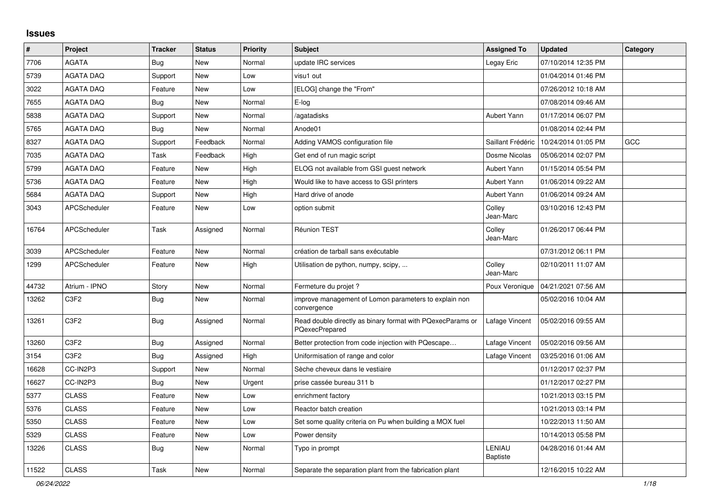## **Issues**

| #     | Project                       | <b>Tracker</b> | <b>Status</b> | Priority | <b>Subject</b>                                                               | <b>Assigned To</b>        | <b>Updated</b>      | Category   |
|-------|-------------------------------|----------------|---------------|----------|------------------------------------------------------------------------------|---------------------------|---------------------|------------|
| 7706  | <b>AGATA</b>                  | <b>Bug</b>     | <b>New</b>    | Normal   | update IRC services                                                          | Legay Eric                | 07/10/2014 12:35 PM |            |
| 5739  | <b>AGATA DAQ</b>              | Support        | New           | Low      | visu1 out                                                                    |                           | 01/04/2014 01:46 PM |            |
| 3022  | <b>AGATA DAQ</b>              | Feature        | <b>New</b>    | Low      | [ELOG] change the "From"                                                     |                           | 07/26/2012 10:18 AM |            |
| 7655  | <b>AGATA DAQ</b>              | <b>Bug</b>     | <b>New</b>    | Normal   | E-log                                                                        |                           | 07/08/2014 09:46 AM |            |
| 5838  | <b>AGATA DAQ</b>              | Support        | New           | Normal   | /agatadisks                                                                  | Aubert Yann               | 01/17/2014 06:07 PM |            |
| 5765  | <b>AGATA DAQ</b>              | Bug            | <b>New</b>    | Normal   | Anode01                                                                      |                           | 01/08/2014 02:44 PM |            |
| 8327  | <b>AGATA DAQ</b>              | Support        | Feedback      | Normal   | Adding VAMOS configuration file                                              | Saillant Frédéric         | 10/24/2014 01:05 PM | <b>GCC</b> |
| 7035  | <b>AGATA DAQ</b>              | Task           | Feedback      | High     | Get end of run magic script                                                  | Dosme Nicolas             | 05/06/2014 02:07 PM |            |
| 5799  | <b>AGATA DAQ</b>              | Feature        | New           | High     | ELOG not available from GSI guest network                                    | Aubert Yann               | 01/15/2014 05:54 PM |            |
| 5736  | <b>AGATA DAQ</b>              | Feature        | <b>New</b>    | High     | Would like to have access to GSI printers                                    | Aubert Yann               | 01/06/2014 09:22 AM |            |
| 5684  | <b>AGATA DAQ</b>              | Support        | <b>New</b>    | High     | Hard drive of anode                                                          | Aubert Yann               | 01/06/2014 09:24 AM |            |
| 3043  | APCScheduler                  | Feature        | <b>New</b>    | Low      | option submit                                                                | Colley<br>Jean-Marc       | 03/10/2016 12:43 PM |            |
| 16764 | APCScheduler                  | Task           | Assigned      | Normal   | Réunion TEST                                                                 | Colley<br>Jean-Marc       | 01/26/2017 06:44 PM |            |
| 3039  | APCScheduler                  | Feature        | <b>New</b>    | Normal   | création de tarball sans exécutable                                          |                           | 07/31/2012 06:11 PM |            |
| 1299  | APCScheduler                  | Feature        | <b>New</b>    | High     | Utilisation de python, numpy, scipy,                                         | Colley<br>Jean-Marc       | 02/10/2011 11:07 AM |            |
| 44732 | Atrium - IPNO                 | Story          | <b>New</b>    | Normal   | Fermeture du projet ?                                                        | Poux Veronique            | 04/21/2021 07:56 AM |            |
| 13262 | C <sub>3</sub> F <sub>2</sub> | <b>Bug</b>     | <b>New</b>    | Normal   | improve management of Lomon parameters to explain non<br>convergence         |                           | 05/02/2016 10:04 AM |            |
| 13261 | C <sub>3</sub> F <sub>2</sub> | <b>Bug</b>     | Assigned      | Normal   | Read double directly as binary format with PQexecParams or<br>PQexecPrepared | Lafage Vincent            | 05/02/2016 09:55 AM |            |
| 13260 | C <sub>3F2</sub>              | Bug            | Assigned      | Normal   | Better protection from code injection with PQescape                          | Lafage Vincent            | 05/02/2016 09:56 AM |            |
| 3154  | C3F2                          | Bug            | Assigned      | High     | Uniformisation of range and color                                            | Lafage Vincent            | 03/25/2016 01:06 AM |            |
| 16628 | CC-IN2P3                      | Support        | New           | Normal   | Sèche cheveux dans le vestiaire                                              |                           | 01/12/2017 02:37 PM |            |
| 16627 | CC-IN2P3                      | Bug            | New           | Urgent   | prise cassée bureau 311 b                                                    |                           | 01/12/2017 02:27 PM |            |
| 5377  | <b>CLASS</b>                  | Feature        | <b>New</b>    | Low      | enrichment factory                                                           |                           | 10/21/2013 03:15 PM |            |
| 5376  | <b>CLASS</b>                  | Feature        | <b>New</b>    | Low      | Reactor batch creation                                                       |                           | 10/21/2013 03:14 PM |            |
| 5350  | <b>CLASS</b>                  | Feature        | <b>New</b>    | Low      | Set some quality criteria on Pu when building a MOX fuel                     |                           | 10/22/2013 11:50 AM |            |
| 5329  | <b>CLASS</b>                  | Feature        | <b>New</b>    | Low      | Power density                                                                |                           | 10/14/2013 05:58 PM |            |
| 13226 | <b>CLASS</b>                  | Bug            | <b>New</b>    | Normal   | Typo in prompt                                                               | LENIAU<br><b>Baptiste</b> | 04/28/2016 01:44 AM |            |
| 11522 | <b>CLASS</b>                  | Task           | <b>New</b>    | Normal   | Separate the separation plant from the fabrication plant                     |                           | 12/16/2015 10:22 AM |            |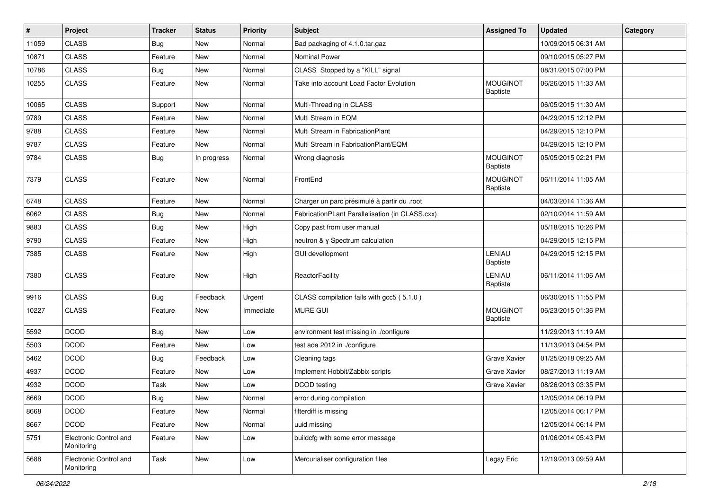| #     | Project                              | <b>Tracker</b> | <b>Status</b> | <b>Priority</b> | <b>Subject</b>                                  | <b>Assigned To</b>                 | <b>Updated</b>      | Category |
|-------|--------------------------------------|----------------|---------------|-----------------|-------------------------------------------------|------------------------------------|---------------------|----------|
| 11059 | <b>CLASS</b>                         | <b>Bug</b>     | New           | Normal          | Bad packaging of 4.1.0.tar.gaz                  |                                    | 10/09/2015 06:31 AM |          |
| 10871 | <b>CLASS</b>                         | Feature        | New           | Normal          | Nominal Power                                   |                                    | 09/10/2015 05:27 PM |          |
| 10786 | <b>CLASS</b>                         | <b>Bug</b>     | New           | Normal          | CLASS Stopped by a "KILL" signal                |                                    | 08/31/2015 07:00 PM |          |
| 10255 | <b>CLASS</b>                         | Feature        | New           | Normal          | Take into account Load Factor Evolution         | <b>MOUGINOT</b><br><b>Baptiste</b> | 06/26/2015 11:33 AM |          |
| 10065 | <b>CLASS</b>                         | Support        | New           | Normal          | Multi-Threading in CLASS                        |                                    | 06/05/2015 11:30 AM |          |
| 9789  | <b>CLASS</b>                         | Feature        | New           | Normal          | Multi Stream in EQM                             |                                    | 04/29/2015 12:12 PM |          |
| 9788  | <b>CLASS</b>                         | Feature        | New           | Normal          | Multi Stream in FabricationPlant                |                                    | 04/29/2015 12:10 PM |          |
| 9787  | <b>CLASS</b>                         | Feature        | New           | Normal          | Multi Stream in FabricationPlant/EQM            |                                    | 04/29/2015 12:10 PM |          |
| 9784  | <b>CLASS</b>                         | <b>Bug</b>     | In progress   | Normal          | Wrong diagnosis                                 | <b>MOUGINOT</b><br><b>Baptiste</b> | 05/05/2015 02:21 PM |          |
| 7379  | <b>CLASS</b>                         | Feature        | New           | Normal          | FrontEnd                                        | <b>MOUGINOT</b><br><b>Baptiste</b> | 06/11/2014 11:05 AM |          |
| 6748  | <b>CLASS</b>                         | Feature        | New           | Normal          | Charger un parc présimulé à partir du .root     |                                    | 04/03/2014 11:36 AM |          |
| 6062  | <b>CLASS</b>                         | <b>Bug</b>     | New           | Normal          | FabricationPLant Parallelisation (in CLASS.cxx) |                                    | 02/10/2014 11:59 AM |          |
| 9883  | <b>CLASS</b>                         | Bug            | New           | High            | Copy past from user manual                      |                                    | 05/18/2015 10:26 PM |          |
| 9790  | <b>CLASS</b>                         | Feature        | New           | High            | neutron & y Spectrum calculation                |                                    | 04/29/2015 12:15 PM |          |
| 7385  | <b>CLASS</b>                         | Feature        | New           | High            | GUI devellopment                                | LENIAU<br><b>Baptiste</b>          | 04/29/2015 12:15 PM |          |
| 7380  | <b>CLASS</b>                         | Feature        | New           | High            | ReactorFacility                                 | LENIAU<br><b>Baptiste</b>          | 06/11/2014 11:06 AM |          |
| 9916  | <b>CLASS</b>                         | <b>Bug</b>     | Feedback      | Urgent          | CLASS compilation fails with gcc5 (5.1.0)       |                                    | 06/30/2015 11:55 PM |          |
| 10227 | <b>CLASS</b>                         | Feature        | New           | Immediate       | <b>MURE GUI</b>                                 | <b>MOUGINOT</b><br><b>Baptiste</b> | 06/23/2015 01:36 PM |          |
| 5592  | <b>DCOD</b>                          | <b>Bug</b>     | New           | Low             | environment test missing in ./configure         |                                    | 11/29/2013 11:19 AM |          |
| 5503  | <b>DCOD</b>                          | Feature        | New           | Low             | test ada 2012 in ./configure                    |                                    | 11/13/2013 04:54 PM |          |
| 5462  | <b>DCOD</b>                          | <b>Bug</b>     | Feedback      | Low             | Cleaning tags                                   | <b>Grave Xavier</b>                | 01/25/2018 09:25 AM |          |
| 4937  | <b>DCOD</b>                          | Feature        | New           | Low             | Implement Hobbit/Zabbix scripts                 | Grave Xavier                       | 08/27/2013 11:19 AM |          |
| 4932  | <b>DCOD</b>                          | Task           | New           | Low             | DCOD testing                                    | Grave Xavier                       | 08/26/2013 03:35 PM |          |
| 8669  | <b>DCOD</b>                          | <b>Bug</b>     | New           | Normal          | error during compilation                        |                                    | 12/05/2014 06:19 PM |          |
| 8668  | <b>DCOD</b>                          | Feature        | New           | Normal          | filterdiff is missing                           |                                    | 12/05/2014 06:17 PM |          |
| 8667  | <b>DCOD</b>                          | Feature        | New           | Normal          | uuid missing                                    |                                    | 12/05/2014 06:14 PM |          |
| 5751  | Electronic Control and<br>Monitoring | Feature        | New           | Low             | buildcfg with some error message                |                                    | 01/06/2014 05:43 PM |          |
| 5688  | Electronic Control and<br>Monitoring | Task           | New           | Low             | Mercurialiser configuration files               | Legay Eric                         | 12/19/2013 09:59 AM |          |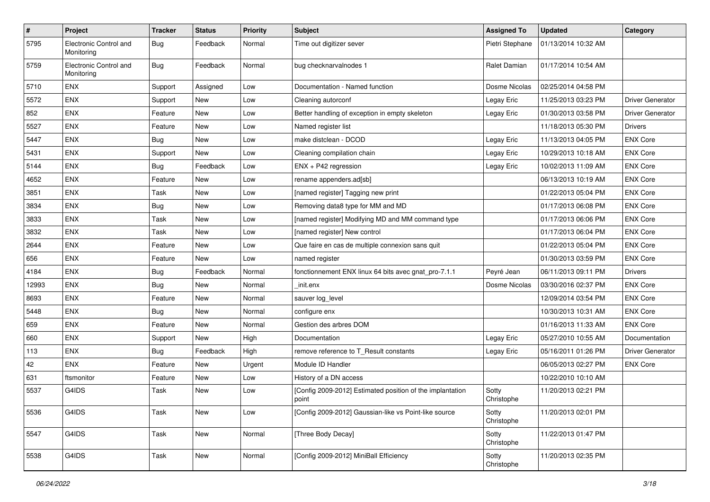| $\vert$ # | Project                              | <b>Tracker</b> | <b>Status</b> | <b>Priority</b> | <b>Subject</b>                                                     | <b>Assigned To</b>  | <b>Updated</b>      | Category                |
|-----------|--------------------------------------|----------------|---------------|-----------------|--------------------------------------------------------------------|---------------------|---------------------|-------------------------|
| 5795      | Electronic Control and<br>Monitoring | <b>Bug</b>     | Feedback      | Normal          | Time out digitizer sever                                           | Pietri Stephane     | 01/13/2014 10:32 AM |                         |
| 5759      | Electronic Control and<br>Monitoring | <b>Bug</b>     | Feedback      | Normal          | bug checknarvalnodes 1                                             | Ralet Damian        | 01/17/2014 10:54 AM |                         |
| 5710      | <b>ENX</b>                           | Support        | Assigned      | Low             | Documentation - Named function                                     | Dosme Nicolas       | 02/25/2014 04:58 PM |                         |
| 5572      | <b>ENX</b>                           | Support        | New           | Low             | Cleaning autorconf                                                 | Legay Eric          | 11/25/2013 03:23 PM | <b>Driver Generator</b> |
| 852       | <b>ENX</b>                           | Feature        | <b>New</b>    | Low             | Better handling of exception in empty skeleton                     | Legay Eric          | 01/30/2013 03:58 PM | <b>Driver Generator</b> |
| 5527      | <b>ENX</b>                           | Feature        | New           | Low             | Named register list                                                |                     | 11/18/2013 05:30 PM | <b>Drivers</b>          |
| 5447      | <b>ENX</b>                           | Bug            | <b>New</b>    | Low             | make distclean - DCOD                                              | Legay Eric          | 11/13/2013 04:05 PM | <b>ENX Core</b>         |
| 5431      | <b>ENX</b>                           | Support        | New           | Low             | Cleaning compilation chain                                         | Legay Eric          | 10/29/2013 10:18 AM | <b>ENX Core</b>         |
| 5144      | <b>ENX</b>                           | Bug            | Feedback      | Low             | ENX + P42 regression                                               | Legay Eric          | 10/02/2013 11:09 AM | <b>ENX Core</b>         |
| 4652      | <b>ENX</b>                           | Feature        | <b>New</b>    | Low             | rename appenders.ad[sb]                                            |                     | 06/13/2013 10:19 AM | <b>ENX Core</b>         |
| 3851      | <b>ENX</b>                           | Task           | New           | Low             | [named register] Tagging new print                                 |                     | 01/22/2013 05:04 PM | <b>ENX Core</b>         |
| 3834      | <b>ENX</b>                           | <b>Bug</b>     | <b>New</b>    | Low             | Removing data8 type for MM and MD                                  |                     | 01/17/2013 06:08 PM | <b>ENX Core</b>         |
| 3833      | <b>ENX</b>                           | Task           | <b>New</b>    | Low             | [named register] Modifying MD and MM command type                  |                     | 01/17/2013 06:06 PM | <b>ENX Core</b>         |
| 3832      | <b>ENX</b>                           | Task           | <b>New</b>    | Low             | [named register] New control                                       |                     | 01/17/2013 06:04 PM | <b>ENX Core</b>         |
| 2644      | <b>ENX</b>                           | Feature        | <b>New</b>    | Low             | Que faire en cas de multiple connexion sans quit                   |                     | 01/22/2013 05:04 PM | <b>ENX Core</b>         |
| 656       | <b>ENX</b>                           | Feature        | New           | Low             | named register                                                     |                     | 01/30/2013 03:59 PM | <b>ENX Core</b>         |
| 4184      | <b>ENX</b>                           | <b>Bug</b>     | Feedback      | Normal          | fonctionnement ENX linux 64 bits avec gnat_pro-7.1.1               | Peyré Jean          | 06/11/2013 09:11 PM | <b>Drivers</b>          |
| 12993     | <b>ENX</b>                           | Bug            | New           | Normal          | init.enx                                                           | Dosme Nicolas       | 03/30/2016 02:37 PM | <b>ENX Core</b>         |
| 8693      | <b>ENX</b>                           | Feature        | New           | Normal          | sauver log_level                                                   |                     | 12/09/2014 03:54 PM | <b>ENX Core</b>         |
| 5448      | <b>ENX</b>                           | Bug            | <b>New</b>    | Normal          | configure enx                                                      |                     | 10/30/2013 10:31 AM | <b>ENX Core</b>         |
| 659       | <b>ENX</b>                           | Feature        | New           | Normal          | Gestion des arbres DOM                                             |                     | 01/16/2013 11:33 AM | <b>ENX Core</b>         |
| 660       | <b>ENX</b>                           | Support        | <b>New</b>    | High            | Documentation                                                      | Legay Eric          | 05/27/2010 10:55 AM | Documentation           |
| 113       | <b>ENX</b>                           | Bug            | Feedback      | High            | remove reference to T_Result constants                             | Legay Eric          | 05/16/2011 01:26 PM | <b>Driver Generator</b> |
| 42        | <b>ENX</b>                           | Feature        | New           | Urgent          | Module ID Handler                                                  |                     | 06/05/2013 02:27 PM | <b>ENX Core</b>         |
| 631       | ftsmonitor                           | Feature        | <b>New</b>    | Low             | History of a DN access                                             |                     | 10/22/2010 10:10 AM |                         |
| 5537      | G4IDS                                | Task           | <b>New</b>    | Low             | [Config 2009-2012] Estimated position of the implantation<br>point | Sotty<br>Christophe | 11/20/2013 02:21 PM |                         |
| 5536      | G4IDS                                | Task           | New           | Low             | [Config 2009-2012] Gaussian-like vs Point-like source              | Sotty<br>Christophe | 11/20/2013 02:01 PM |                         |
| 5547      | G4IDS                                | Task           | New           | Normal          | [Three Body Decay]                                                 | Sotty<br>Christophe | 11/22/2013 01:47 PM |                         |
| 5538      | G4IDS                                | Task           | New           | Normal          | [Config 2009-2012] MiniBall Efficiency                             | Sotty<br>Christophe | 11/20/2013 02:35 PM |                         |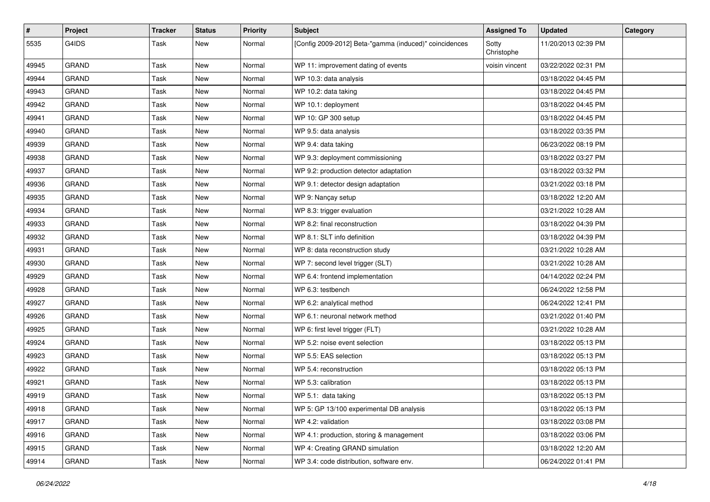| #     | Project      | <b>Tracker</b> | <b>Status</b> | <b>Priority</b> | <b>Subject</b>                                         | <b>Assigned To</b>  | <b>Updated</b>      | Category |
|-------|--------------|----------------|---------------|-----------------|--------------------------------------------------------|---------------------|---------------------|----------|
| 5535  | G4IDS        | Task           | New           | Normal          | [Config 2009-2012] Beta-"gamma (induced)" coincidences | Sotty<br>Christophe | 11/20/2013 02:39 PM |          |
| 49945 | <b>GRAND</b> | Task           | New           | Normal          | WP 11: improvement dating of events                    | voisin vincent      | 03/22/2022 02:31 PM |          |
| 49944 | <b>GRAND</b> | Task           | <b>New</b>    | Normal          | WP 10.3: data analysis                                 |                     | 03/18/2022 04:45 PM |          |
| 49943 | <b>GRAND</b> | Task           | <b>New</b>    | Normal          | WP 10.2: data taking                                   |                     | 03/18/2022 04:45 PM |          |
| 49942 | <b>GRAND</b> | Task           | <b>New</b>    | Normal          | WP 10.1: deployment                                    |                     | 03/18/2022 04:45 PM |          |
| 49941 | GRAND        | Task           | <b>New</b>    | Normal          | WP 10: GP 300 setup                                    |                     | 03/18/2022 04:45 PM |          |
| 49940 | <b>GRAND</b> | Task           | New           | Normal          | WP 9.5: data analysis                                  |                     | 03/18/2022 03:35 PM |          |
| 49939 | <b>GRAND</b> | Task           | New           | Normal          | WP 9.4: data taking                                    |                     | 06/23/2022 08:19 PM |          |
| 49938 | <b>GRAND</b> | Task           | <b>New</b>    | Normal          | WP 9.3: deployment commissioning                       |                     | 03/18/2022 03:27 PM |          |
| 49937 | <b>GRAND</b> | Task           | New           | Normal          | WP 9.2: production detector adaptation                 |                     | 03/18/2022 03:32 PM |          |
| 49936 | <b>GRAND</b> | Task           | <b>New</b>    | Normal          | WP 9.1: detector design adaptation                     |                     | 03/21/2022 03:18 PM |          |
| 49935 | <b>GRAND</b> | Task           | New           | Normal          | WP 9: Nançay setup                                     |                     | 03/18/2022 12:20 AM |          |
| 49934 | <b>GRAND</b> | Task           | New           | Normal          | WP 8.3: trigger evaluation                             |                     | 03/21/2022 10:28 AM |          |
| 49933 | <b>GRAND</b> | Task           | <b>New</b>    | Normal          | WP 8.2: final reconstruction                           |                     | 03/18/2022 04:39 PM |          |
| 49932 | <b>GRAND</b> | Task           | New           | Normal          | WP 8.1: SLT info definition                            |                     | 03/18/2022 04:39 PM |          |
| 49931 | <b>GRAND</b> | Task           | <b>New</b>    | Normal          | WP 8: data reconstruction study                        |                     | 03/21/2022 10:28 AM |          |
| 49930 | <b>GRAND</b> | Task           | New           | Normal          | WP 7: second level trigger (SLT)                       |                     | 03/21/2022 10:28 AM |          |
| 49929 | <b>GRAND</b> | Task           | <b>New</b>    | Normal          | WP 6.4: frontend implementation                        |                     | 04/14/2022 02:24 PM |          |
| 49928 | <b>GRAND</b> | Task           | <b>New</b>    | Normal          | WP 6.3: testbench                                      |                     | 06/24/2022 12:58 PM |          |
| 49927 | <b>GRAND</b> | Task           | New           | Normal          | WP 6.2: analytical method                              |                     | 06/24/2022 12:41 PM |          |
| 49926 | <b>GRAND</b> | Task           | New           | Normal          | WP 6.1: neuronal network method                        |                     | 03/21/2022 01:40 PM |          |
| 49925 | <b>GRAND</b> | Task           | New           | Normal          | WP 6: first level trigger (FLT)                        |                     | 03/21/2022 10:28 AM |          |
| 49924 | <b>GRAND</b> | Task           | <b>New</b>    | Normal          | WP 5.2: noise event selection                          |                     | 03/18/2022 05:13 PM |          |
| 49923 | <b>GRAND</b> | Task           | <b>New</b>    | Normal          | WP 5.5: EAS selection                                  |                     | 03/18/2022 05:13 PM |          |
| 49922 | <b>GRAND</b> | Task           | New           | Normal          | WP 5.4: reconstruction                                 |                     | 03/18/2022 05:13 PM |          |
| 49921 | <b>GRAND</b> | Task           | New           | Normal          | WP 5.3: calibration                                    |                     | 03/18/2022 05:13 PM |          |
| 49919 | <b>GRAND</b> | Task           | New           | Normal          | WP 5.1: data taking                                    |                     | 03/18/2022 05:13 PM |          |
| 49918 | GRAND        | Task           | New           | Normal          | WP 5: GP 13/100 experimental DB analysis               |                     | 03/18/2022 05:13 PM |          |
| 49917 | GRAND        | Task           | New           | Normal          | WP 4.2: validation                                     |                     | 03/18/2022 03:08 PM |          |
| 49916 | <b>GRAND</b> | Task           | New           | Normal          | WP 4.1: production, storing & management               |                     | 03/18/2022 03:06 PM |          |
| 49915 | GRAND        | Task           | New           | Normal          | WP 4: Creating GRAND simulation                        |                     | 03/18/2022 12:20 AM |          |
| 49914 | GRAND        | Task           | New           | Normal          | WP 3.4: code distribution, software env.               |                     | 06/24/2022 01:41 PM |          |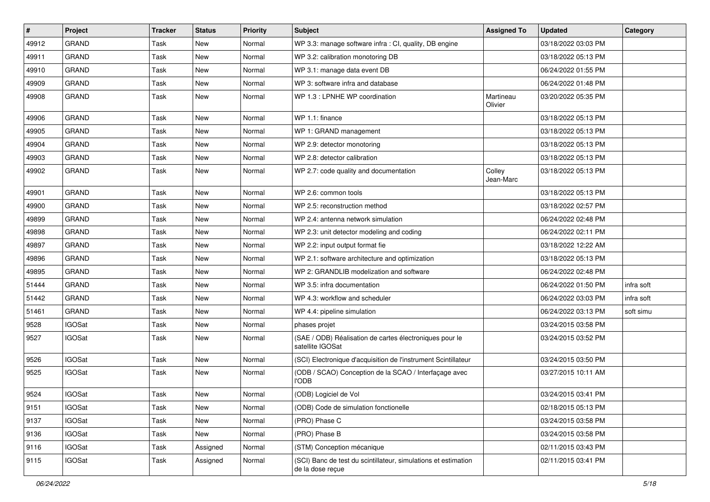| $\vert$ # | Project       | Tracker | <b>Status</b> | <b>Priority</b> | <b>Subject</b>                                                                     | <b>Assigned To</b>   | <b>Updated</b>      | Category   |
|-----------|---------------|---------|---------------|-----------------|------------------------------------------------------------------------------------|----------------------|---------------------|------------|
| 49912     | <b>GRAND</b>  | Task    | New           | Normal          | WP 3.3: manage software infra : CI, quality, DB engine                             |                      | 03/18/2022 03:03 PM |            |
| 49911     | <b>GRAND</b>  | Task    | New           | Normal          | WP 3.2: calibration monotoring DB                                                  |                      | 03/18/2022 05:13 PM |            |
| 49910     | <b>GRAND</b>  | Task    | New           | Normal          | WP 3.1: manage data event DB                                                       |                      | 06/24/2022 01:55 PM |            |
| 49909     | <b>GRAND</b>  | Task    | New           | Normal          | WP 3: software infra and database                                                  |                      | 06/24/2022 01:48 PM |            |
| 49908     | <b>GRAND</b>  | Task    | New           | Normal          | WP 1.3 : LPNHE WP coordination                                                     | Martineau<br>Olivier | 03/20/2022 05:35 PM |            |
| 49906     | <b>GRAND</b>  | Task    | <b>New</b>    | Normal          | WP 1.1: finance                                                                    |                      | 03/18/2022 05:13 PM |            |
| 49905     | <b>GRAND</b>  | Task    | New           | Normal          | WP 1: GRAND management                                                             |                      | 03/18/2022 05:13 PM |            |
| 49904     | <b>GRAND</b>  | Task    | New           | Normal          | WP 2.9: detector monotoring                                                        |                      | 03/18/2022 05:13 PM |            |
| 49903     | <b>GRAND</b>  | Task    | New           | Normal          | WP 2.8: detector calibration                                                       |                      | 03/18/2022 05:13 PM |            |
| 49902     | GRAND         | Task    | New           | Normal          | WP 2.7: code quality and documentation                                             | Colley<br>Jean-Marc  | 03/18/2022 05:13 PM |            |
| 49901     | <b>GRAND</b>  | Task    | New           | Normal          | WP 2.6: common tools                                                               |                      | 03/18/2022 05:13 PM |            |
| 49900     | <b>GRAND</b>  | Task    | New           | Normal          | WP 2.5: reconstruction method                                                      |                      | 03/18/2022 02:57 PM |            |
| 49899     | <b>GRAND</b>  | Task    | New           | Normal          | WP 2.4: antenna network simulation                                                 |                      | 06/24/2022 02:48 PM |            |
| 49898     | <b>GRAND</b>  | Task    | New           | Normal          | WP 2.3: unit detector modeling and coding                                          |                      | 06/24/2022 02:11 PM |            |
| 49897     | <b>GRAND</b>  | Task    | New           | Normal          | WP 2.2: input output format fie                                                    |                      | 03/18/2022 12:22 AM |            |
| 49896     | <b>GRAND</b>  | Task    | New           | Normal          | WP 2.1: software architecture and optimization                                     |                      | 03/18/2022 05:13 PM |            |
| 49895     | <b>GRAND</b>  | Task    | New           | Normal          | WP 2: GRANDLIB modelization and software                                           |                      | 06/24/2022 02:48 PM |            |
| 51444     | <b>GRAND</b>  | Task    | New           | Normal          | WP 3.5: infra documentation                                                        |                      | 06/24/2022 01:50 PM | infra soft |
| 51442     | <b>GRAND</b>  | Task    | New           | Normal          | WP 4.3: workflow and scheduler                                                     |                      | 06/24/2022 03:03 PM | infra soft |
| 51461     | <b>GRAND</b>  | Task    | New           | Normal          | WP 4.4: pipeline simulation                                                        |                      | 06/24/2022 03:13 PM | soft simu  |
| 9528      | <b>IGOSat</b> | Task    | New           | Normal          | phases projet                                                                      |                      | 03/24/2015 03:58 PM |            |
| 9527      | <b>IGOSat</b> | Task    | New           | Normal          | (SAE / ODB) Réalisation de cartes électroniques pour le<br>satellite IGOSat        |                      | 03/24/2015 03:52 PM |            |
| 9526      | <b>IGOSat</b> | Task    | New           | Normal          | (SCI) Electronique d'acquisition de l'instrument Scintillateur                     |                      | 03/24/2015 03:50 PM |            |
| 9525      | <b>IGOSat</b> | Task    | New           | Normal          | (ODB / SCAO) Conception de la SCAO / Interfaçage avec<br><b>l'ODB</b>              |                      | 03/27/2015 10:11 AM |            |
| 9524      | <b>IGOSat</b> | Task    | New           | Normal          | (ODB) Logiciel de Vol                                                              |                      | 03/24/2015 03:41 PM |            |
| 9151      | <b>IGOSat</b> | Task    | New           | Normal          | (ODB) Code de simulation fonctionelle                                              |                      | 02/18/2015 05:13 PM |            |
| 9137      | <b>IGOSat</b> | Task    | New           | Normal          | (PRO) Phase C                                                                      |                      | 03/24/2015 03:58 PM |            |
| 9136      | <b>IGOSat</b> | Task    | New           | Normal          | (PRO) Phase B                                                                      |                      | 03/24/2015 03:58 PM |            |
| 9116      | <b>IGOSat</b> | Task    | Assigned      | Normal          | (STM) Conception mécanique                                                         |                      | 02/11/2015 03:43 PM |            |
| 9115      | <b>IGOSat</b> | Task    | Assigned      | Normal          | (SCI) Banc de test du scintillateur, simulations et estimation<br>de la dose reçue |                      | 02/11/2015 03:41 PM |            |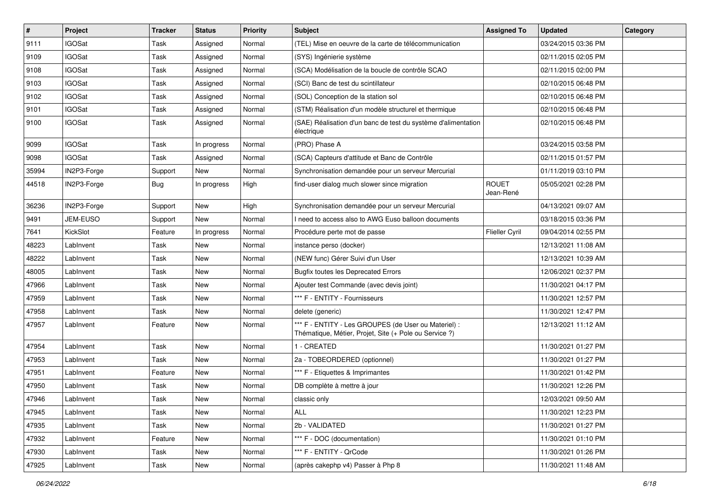| $\sharp$ | Project       | <b>Tracker</b> | <b>Status</b> | <b>Priority</b> | <b>Subject</b>                                                                                                 | <b>Assigned To</b>        | <b>Updated</b>      | Category |
|----------|---------------|----------------|---------------|-----------------|----------------------------------------------------------------------------------------------------------------|---------------------------|---------------------|----------|
| 9111     | <b>IGOSat</b> | Task           | Assigned      | Normal          | (TEL) Mise en oeuvre de la carte de télécommunication                                                          |                           | 03/24/2015 03:36 PM |          |
| 9109     | <b>IGOSat</b> | Task           | Assigned      | Normal          | (SYS) Ingénierie système                                                                                       |                           | 02/11/2015 02:05 PM |          |
| 9108     | <b>IGOSat</b> | Task           | Assigned      | Normal          | (SCA) Modélisation de la boucle de contrôle SCAO                                                               |                           | 02/11/2015 02:00 PM |          |
| 9103     | <b>IGOSat</b> | Task           | Assigned      | Normal          | (SCI) Banc de test du scintillateur                                                                            |                           | 02/10/2015 06:48 PM |          |
| 9102     | <b>IGOSat</b> | Task           | Assigned      | Normal          | (SOL) Conception de la station sol                                                                             |                           | 02/10/2015 06:48 PM |          |
| 9101     | <b>IGOSat</b> | Task           | Assigned      | Normal          | (STM) Réalisation d'un modèle structurel et thermique                                                          |                           | 02/10/2015 06:48 PM |          |
| 9100     | <b>IGOSat</b> | Task           | Assigned      | Normal          | (SAE) Réalisation d'un banc de test du système d'alimentation<br>électrique                                    |                           | 02/10/2015 06:48 PM |          |
| 9099     | <b>IGOSat</b> | Task           | In progress   | Normal          | (PRO) Phase A                                                                                                  |                           | 03/24/2015 03:58 PM |          |
| 9098     | <b>IGOSat</b> | Task           | Assigned      | Normal          | (SCA) Capteurs d'attitude et Banc de Contrôle                                                                  |                           | 02/11/2015 01:57 PM |          |
| 35994    | IN2P3-Forge   | Support        | New           | Normal          | Synchronisation demandée pour un serveur Mercurial                                                             |                           | 01/11/2019 03:10 PM |          |
| 44518    | IN2P3-Forge   | <b>Bug</b>     | In progress   | High            | find-user dialog much slower since migration                                                                   | <b>ROUET</b><br>Jean-René | 05/05/2021 02:28 PM |          |
| 36236    | IN2P3-Forge   | Support        | New           | High            | Synchronisation demandée pour un serveur Mercurial                                                             |                           | 04/13/2021 09:07 AM |          |
| 9491     | JEM-EUSO      | Support        | <b>New</b>    | Normal          | I need to access also to AWG Euso balloon documents                                                            |                           | 03/18/2015 03:36 PM |          |
| 7641     | KickSlot      | Feature        | In progress   | Normal          | Procédure perte mot de passe                                                                                   | Flieller Cyril            | 09/04/2014 02:55 PM |          |
| 48223    | LabInvent     | Task           | New           | Normal          | instance perso (docker)                                                                                        |                           | 12/13/2021 11:08 AM |          |
| 48222    | LabInvent     | Task           | <b>New</b>    | Normal          | (NEW func) Gérer Suivi d'un User                                                                               |                           | 12/13/2021 10:39 AM |          |
| 48005    | LabInvent     | Task           | New           | Normal          | <b>Bugfix toutes les Deprecated Errors</b>                                                                     |                           | 12/06/2021 02:37 PM |          |
| 47966    | LabInvent     | Task           | <b>New</b>    | Normal          | Ajouter test Commande (avec devis joint)                                                                       |                           | 11/30/2021 04:17 PM |          |
| 47959    | LabInvent     | Task           | New           | Normal          | *** F - ENTITY - Fournisseurs                                                                                  |                           | 11/30/2021 12:57 PM |          |
| 47958    | LabInvent     | Task           | New           | Normal          | delete (generic)                                                                                               |                           | 11/30/2021 12:47 PM |          |
| 47957    | LabInvent     | Feature        | <b>New</b>    | Normal          | *** F - ENTITY - Les GROUPES (de User ou Materiel) :<br>Thématique, Métier, Projet, Site (+ Pole ou Service ?) |                           | 12/13/2021 11:12 AM |          |
| 47954    | LabInvent     | Task           | <b>New</b>    | Normal          | 1 - CREATED                                                                                                    |                           | 11/30/2021 01:27 PM |          |
| 47953    | LabInvent     | Task           | <b>New</b>    | Normal          | 2a - TOBEORDERED (optionnel)                                                                                   |                           | 11/30/2021 01:27 PM |          |
| 47951    | LabInvent     | Feature        | <b>New</b>    | Normal          | *** F - Etiquettes & Imprimantes                                                                               |                           | 11/30/2021 01:42 PM |          |
| 47950    | LabInvent     | Task           | New           | Normal          | DB complète à mettre à jour                                                                                    |                           | 11/30/2021 12:26 PM |          |
| 47946    | LabInvent     | Task           | New           | Normal          | classic only                                                                                                   |                           | 12/03/2021 09:50 AM |          |
| 47945    | LabInvent     | Task           | New           | Normal          | ALL                                                                                                            |                           | 11/30/2021 12:23 PM |          |
| 47935    | LabInvent     | Task           | New           | Normal          | 2b - VALIDATED                                                                                                 |                           | 11/30/2021 01:27 PM |          |
| 47932    | LabInvent     | Feature        | New           | Normal          | *** F - DOC (documentation)                                                                                    |                           | 11/30/2021 01:10 PM |          |
| 47930    | LabInvent     | Task           | New           | Normal          | *** F - ENTITY - QrCode                                                                                        |                           | 11/30/2021 01:26 PM |          |
| 47925    | LabInvent     | Task           | New           | Normal          | (après cakephp v4) Passer à Php 8                                                                              |                           | 11/30/2021 11:48 AM |          |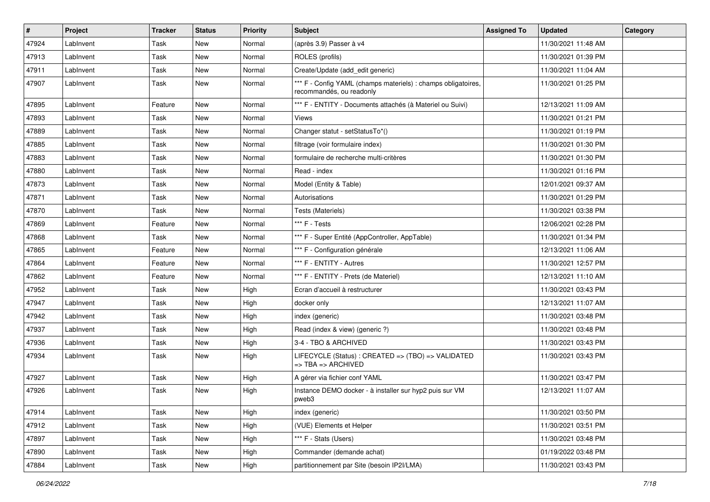| #     | Project   | <b>Tracker</b> | <b>Status</b> | <b>Priority</b> | <b>Subject</b>                                                                                 | <b>Assigned To</b> | <b>Updated</b>      | Category |
|-------|-----------|----------------|---------------|-----------------|------------------------------------------------------------------------------------------------|--------------------|---------------------|----------|
| 47924 | LabInvent | Task           | <b>New</b>    | Normal          | (après 3.9) Passer à v4                                                                        |                    | 11/30/2021 11:48 AM |          |
| 47913 | LabInvent | Task           | New           | Normal          | ROLES (profils)                                                                                |                    | 11/30/2021 01:39 PM |          |
| 47911 | LabInvent | Task           | New           | Normal          | Create/Update (add edit generic)                                                               |                    | 11/30/2021 11:04 AM |          |
| 47907 | LabInvent | Task           | New           | Normal          | *** F - Config YAML (champs materiels) : champs obligatoires,<br>recommandés, ou readonly      |                    | 11/30/2021 01:25 PM |          |
| 47895 | LabInvent | Feature        | New           | Normal          | *** F - ENTITY - Documents attachés (à Materiel ou Suivi)                                      |                    | 12/13/2021 11:09 AM |          |
| 47893 | LabInvent | Task           | <b>New</b>    | Normal          | Views                                                                                          |                    | 11/30/2021 01:21 PM |          |
| 47889 | LabInvent | Task           | New           | Normal          | Changer statut - setStatusTo*()                                                                |                    | 11/30/2021 01:19 PM |          |
| 47885 | LabInvent | Task           | <b>New</b>    | Normal          | filtrage (voir formulaire index)                                                               |                    | 11/30/2021 01:30 PM |          |
| 47883 | LabInvent | Task           | New           | Normal          | formulaire de recherche multi-critères                                                         |                    | 11/30/2021 01:30 PM |          |
| 47880 | LabInvent | Task           | New           | Normal          | Read - index                                                                                   |                    | 11/30/2021 01:16 PM |          |
| 47873 | LabInvent | Task           | <b>New</b>    | Normal          | Model (Entity & Table)                                                                         |                    | 12/01/2021 09:37 AM |          |
| 47871 | LabInvent | Task           | New           | Normal          | Autorisations                                                                                  |                    | 11/30/2021 01:29 PM |          |
| 47870 | LabInvent | Task           | <b>New</b>    | Normal          | Tests (Materiels)                                                                              |                    | 11/30/2021 03:38 PM |          |
| 47869 | LabInvent | Feature        | <b>New</b>    | Normal          | *** F - Tests                                                                                  |                    | 12/06/2021 02:28 PM |          |
| 47868 | LabInvent | Task           | New           | Normal          | *** F - Super Entité (AppController, AppTable)                                                 |                    | 11/30/2021 01:34 PM |          |
| 47865 | LabInvent | Feature        | New           | Normal          | *** F - Configuration générale                                                                 |                    | 12/13/2021 11:06 AM |          |
| 47864 | LabInvent | Feature        | New           | Normal          | *** F - ENTITY - Autres                                                                        |                    | 11/30/2021 12:57 PM |          |
| 47862 | LabInvent | Feature        | <b>New</b>    | Normal          | *** F - ENTITY - Prets (de Materiel)                                                           |                    | 12/13/2021 11:10 AM |          |
| 47952 | LabInvent | Task           | New           | High            | Ecran d'accueil à restructurer                                                                 |                    | 11/30/2021 03:43 PM |          |
| 47947 | LabInvent | Task           | New           | High            | docker only                                                                                    |                    | 12/13/2021 11:07 AM |          |
| 47942 | LabInvent | Task           | <b>New</b>    | High            | index (generic)                                                                                |                    | 11/30/2021 03:48 PM |          |
| 47937 | LabInvent | Task           | <b>New</b>    | High            | Read (index & view) (generic ?)                                                                |                    | 11/30/2021 03:48 PM |          |
| 47936 | LabInvent | Task           | New           | High            | 3-4 - TBO & ARCHIVED                                                                           |                    | 11/30/2021 03:43 PM |          |
| 47934 | LabInvent | Task           | <b>New</b>    | High            | LIFECYCLE (Status) : CREATED => (TBO) => VALIDATED<br>$\Rightarrow$ TBA $\Rightarrow$ ARCHIVED |                    | 11/30/2021 03:43 PM |          |
| 47927 | LabInvent | Task           | <b>New</b>    | High            | A gérer via fichier conf YAML                                                                  |                    | 11/30/2021 03:47 PM |          |
| 47926 | LabInvent | Task           | New           | High            | Instance DEMO docker - à installer sur hyp2 puis sur VM<br>pweb3                               |                    | 12/13/2021 11:07 AM |          |
| 47914 | LabInvent | Task           | New           | High            | index (generic)                                                                                |                    | 11/30/2021 03:50 PM |          |
| 47912 | LabInvent | Task           | New           | High            | (VUE) Elements et Helper                                                                       |                    | 11/30/2021 03:51 PM |          |
| 47897 | LabInvent | Task           | New           | High            | *** F - Stats (Users)                                                                          |                    | 11/30/2021 03:48 PM |          |
| 47890 | LabInvent | Task           | New           | High            | Commander (demande achat)                                                                      |                    | 01/19/2022 03:48 PM |          |
| 47884 | LabInvent | Task           | New           | High            | partitionnement par Site (besoin IP2I/LMA)                                                     |                    | 11/30/2021 03:43 PM |          |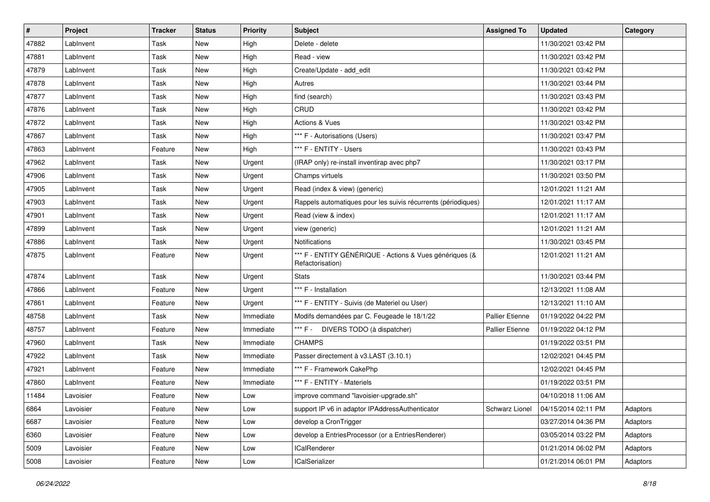| #     | Project   | <b>Tracker</b> | <b>Status</b> | <b>Priority</b> | Subject                                                                     | <b>Assigned To</b>     | <b>Updated</b>      | Category |
|-------|-----------|----------------|---------------|-----------------|-----------------------------------------------------------------------------|------------------------|---------------------|----------|
| 47882 | LabInvent | Task           | <b>New</b>    | High            | Delete - delete                                                             |                        | 11/30/2021 03:42 PM |          |
| 47881 | LabInvent | Task           | <b>New</b>    | High            | Read - view                                                                 |                        | 11/30/2021 03:42 PM |          |
| 47879 | LabInvent | Task           | New           | High            | Create/Update - add edit                                                    |                        | 11/30/2021 03:42 PM |          |
| 47878 | LabInvent | Task           | <b>New</b>    | High            | Autres                                                                      |                        | 11/30/2021 03:44 PM |          |
| 47877 | LabInvent | Task           | <b>New</b>    | High            | find (search)                                                               |                        | 11/30/2021 03:43 PM |          |
| 47876 | LabInvent | Task           | New           | High            | CRUD                                                                        |                        | 11/30/2021 03:42 PM |          |
| 47872 | LabInvent | Task           | <b>New</b>    | High            | <b>Actions &amp; Vues</b>                                                   |                        | 11/30/2021 03:42 PM |          |
| 47867 | LabInvent | Task           | New           | High            | *** F - Autorisations (Users)                                               |                        | 11/30/2021 03:47 PM |          |
| 47863 | LabInvent | Feature        | <b>New</b>    | High            | *** F - ENTITY - Users                                                      |                        | 11/30/2021 03:43 PM |          |
| 47962 | LabInvent | Task           | <b>New</b>    | Urgent          | (IRAP only) re-install inventirap avec php7                                 |                        | 11/30/2021 03:17 PM |          |
| 47906 | LabInvent | Task           | <b>New</b>    | Urgent          | Champs virtuels                                                             |                        | 11/30/2021 03:50 PM |          |
| 47905 | LabInvent | Task           | <b>New</b>    | Urgent          | Read (index & view) (generic)                                               |                        | 12/01/2021 11:21 AM |          |
| 47903 | LabInvent | Task           | New           | Urgent          | Rappels automatiques pour les suivis récurrents (périodiques)               |                        | 12/01/2021 11:17 AM |          |
| 47901 | LabInvent | Task           | New           | Urgent          | Read (view & index)                                                         |                        | 12/01/2021 11:17 AM |          |
| 47899 | LabInvent | Task           | <b>New</b>    | Urgent          | view (generic)                                                              |                        | 12/01/2021 11:21 AM |          |
| 47886 | LabInvent | Task           | New           | Urgent          | <b>Notifications</b>                                                        |                        | 11/30/2021 03:45 PM |          |
| 47875 | LabInvent | Feature        | <b>New</b>    | Urgent          | *** F - ENTITY GÉNÉRIQUE - Actions & Vues génériques (&<br>Refactorisation) |                        | 12/01/2021 11:21 AM |          |
| 47874 | LabInvent | Task           | New           | Urgent          | <b>Stats</b>                                                                |                        | 11/30/2021 03:44 PM |          |
| 47866 | LabInvent | Feature        | <b>New</b>    | Urgent          | *** F - Installation                                                        |                        | 12/13/2021 11:08 AM |          |
| 47861 | LabInvent | Feature        | New           | Urgent          | *** F - ENTITY - Suivis (de Materiel ou User)                               |                        | 12/13/2021 11:10 AM |          |
| 48758 | LabInvent | Task           | <b>New</b>    | Immediate       | Modifs demandées par C. Feugeade le 18/1/22                                 | <b>Pallier Etienne</b> | 01/19/2022 04:22 PM |          |
| 48757 | LabInvent | Feature        | <b>New</b>    | Immediate       | *** F - DIVERS TODO (à dispatcher)                                          | <b>Pallier Etienne</b> | 01/19/2022 04:12 PM |          |
| 47960 | LabInvent | Task           | New           | Immediate       | <b>CHAMPS</b>                                                               |                        | 01/19/2022 03:51 PM |          |
| 47922 | LabInvent | Task           | <b>New</b>    | Immediate       | Passer directement à v3.LAST (3.10.1)                                       |                        | 12/02/2021 04:45 PM |          |
| 47921 | LabInvent | Feature        | New           | Immediate       | *** F - Framework CakePhp                                                   |                        | 12/02/2021 04:45 PM |          |
| 47860 | LabInvent | Feature        | <b>New</b>    | Immediate       | *** F - ENTITY - Materiels                                                  |                        | 01/19/2022 03:51 PM |          |
| 11484 | Lavoisier | Feature        | <b>New</b>    | Low             | improve command "lavoisier-upgrade.sh"                                      |                        | 04/10/2018 11:06 AM |          |
| 6864  | Lavoisier | Feature        | New           | Low             | support IP v6 in adaptor IPAddressAuthenticator                             | Schwarz Lionel         | 04/15/2014 02:11 PM | Adaptors |
| 6687  | Lavoisier | Feature        | New           | Low             | develop a CronTrigger                                                       |                        | 03/27/2014 04:36 PM | Adaptors |
| 6360  | Lavoisier | Feature        | New           | Low             | develop a EntriesProcessor (or a EntriesRenderer)                           |                        | 03/05/2014 03:22 PM | Adaptors |
| 5009  | Lavoisier | Feature        | New           | Low             | <b>ICalRenderer</b>                                                         |                        | 01/21/2014 06:02 PM | Adaptors |
| 5008  | Lavoisier | Feature        | New           | Low             | <b>ICalSerializer</b>                                                       |                        | 01/21/2014 06:01 PM | Adaptors |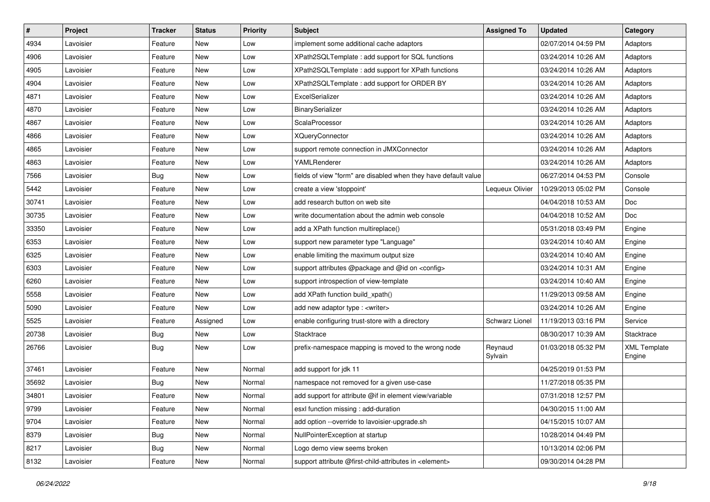| $\pmb{\#}$ | Project   | <b>Tracker</b> | <b>Status</b> | <b>Priority</b> | Subject                                                          | <b>Assigned To</b> | <b>Updated</b>      | Category                      |
|------------|-----------|----------------|---------------|-----------------|------------------------------------------------------------------|--------------------|---------------------|-------------------------------|
| 4934       | Lavoisier | Feature        | New           | Low             | implement some additional cache adaptors                         |                    | 02/07/2014 04:59 PM | Adaptors                      |
| 4906       | Lavoisier | Feature        | <b>New</b>    | Low             | XPath2SQLTemplate : add support for SQL functions                |                    | 03/24/2014 10:26 AM | Adaptors                      |
| 4905       | Lavoisier | Feature        | New           | Low             | XPath2SQLTemplate : add support for XPath functions              |                    | 03/24/2014 10:26 AM | Adaptors                      |
| 4904       | Lavoisier | Feature        | New           | Low             | XPath2SQLTemplate : add support for ORDER BY                     |                    | 03/24/2014 10:26 AM | Adaptors                      |
| 4871       | Lavoisier | Feature        | <b>New</b>    | Low             | ExcelSerializer                                                  |                    | 03/24/2014 10:26 AM | Adaptors                      |
| 4870       | Lavoisier | Feature        | <b>New</b>    | Low             | BinarySerializer                                                 |                    | 03/24/2014 10:26 AM | Adaptors                      |
| 4867       | Lavoisier | Feature        | New           | Low             | ScalaProcessor                                                   |                    | 03/24/2014 10:26 AM | Adaptors                      |
| 4866       | Lavoisier | Feature        | New           | Low             | <b>XQueryConnector</b>                                           |                    | 03/24/2014 10:26 AM | Adaptors                      |
| 4865       | Lavoisier | Feature        | New           | Low             | support remote connection in JMXConnector                        |                    | 03/24/2014 10:26 AM | Adaptors                      |
| 4863       | Lavoisier | Feature        | <b>New</b>    | Low             | YAMLRenderer                                                     |                    | 03/24/2014 10:26 AM | Adaptors                      |
| 7566       | Lavoisier | <b>Bug</b>     | New           | Low             | fields of view "form" are disabled when they have default value  |                    | 06/27/2014 04:53 PM | Console                       |
| 5442       | Lavoisier | Feature        | <b>New</b>    | Low             | create a view 'stoppoint'                                        | Lequeux Olivier    | 10/29/2013 05:02 PM | Console                       |
| 30741      | Lavoisier | Feature        | New           | Low             | add research button on web site                                  |                    | 04/04/2018 10:53 AM | Doc                           |
| 30735      | Lavoisier | Feature        | <b>New</b>    | Low             | write documentation about the admin web console                  |                    | 04/04/2018 10:52 AM | Doc                           |
| 33350      | Lavoisier | Feature        | <b>New</b>    | Low             | add a XPath function multireplace()                              |                    | 05/31/2018 03:49 PM | Engine                        |
| 6353       | Lavoisier | Feature        | New           | Low             | support new parameter type "Language"                            |                    | 03/24/2014 10:40 AM | Engine                        |
| 6325       | Lavoisier | Feature        | New           | Low             | enable limiting the maximum output size                          |                    | 03/24/2014 10:40 AM | Engine                        |
| 6303       | Lavoisier | Feature        | New           | Low             | support attributes @package and @id on <config></config>         |                    | 03/24/2014 10:31 AM | Engine                        |
| 6260       | Lavoisier | Feature        | <b>New</b>    | Low             | support introspection of view-template                           |                    | 03/24/2014 10:40 AM | Engine                        |
| 5558       | Lavoisier | Feature        | <b>New</b>    | Low             | add XPath function build_xpath()                                 |                    | 11/29/2013 09:58 AM | Engine                        |
| 5090       | Lavoisier | Feature        | New           | Low             | add new adaptor type : <writer></writer>                         |                    | 03/24/2014 10:26 AM | Engine                        |
| 5525       | Lavoisier | Feature        | Assigned      | Low             | enable configuring trust-store with a directory                  | Schwarz Lionel     | 11/19/2013 03:16 PM | Service                       |
| 20738      | Lavoisier | <b>Bug</b>     | New           | Low             | Stacktrace                                                       |                    | 08/30/2017 10:39 AM | Stacktrace                    |
| 26766      | Lavoisier | <b>Bug</b>     | <b>New</b>    | Low             | prefix-namespace mapping is moved to the wrong node              | Reynaud<br>Sylvain | 01/03/2018 05:32 PM | <b>XML Template</b><br>Engine |
| 37461      | Lavoisier | Feature        | New           | Normal          | add support for jdk 11                                           |                    | 04/25/2019 01:53 PM |                               |
| 35692      | Lavoisier | <b>Bug</b>     | New           | Normal          | namespace not removed for a given use-case                       |                    | 11/27/2018 05:35 PM |                               |
| 34801      | Lavoisier | Feature        | <b>New</b>    | Normal          | add support for attribute @if in element view/variable           |                    | 07/31/2018 12:57 PM |                               |
| 9799       | Lavoisier | Feature        | New           | Normal          | esxl function missing: add-duration                              |                    | 04/30/2015 11:00 AM |                               |
| 9704       | Lavoisier | Feature        | New           | Normal          | add option --override to lavoisier-upgrade.sh                    |                    | 04/15/2015 10:07 AM |                               |
| 8379       | Lavoisier | <b>Bug</b>     | New           | Normal          | NullPointerException at startup                                  |                    | 10/28/2014 04:49 PM |                               |
| 8217       | Lavoisier | <b>Bug</b>     | New           | Normal          | Logo demo view seems broken                                      |                    | 10/13/2014 02:06 PM |                               |
| 8132       | Lavoisier | Feature        | New           | Normal          | support attribute @first-child-attributes in <element></element> |                    | 09/30/2014 04:28 PM |                               |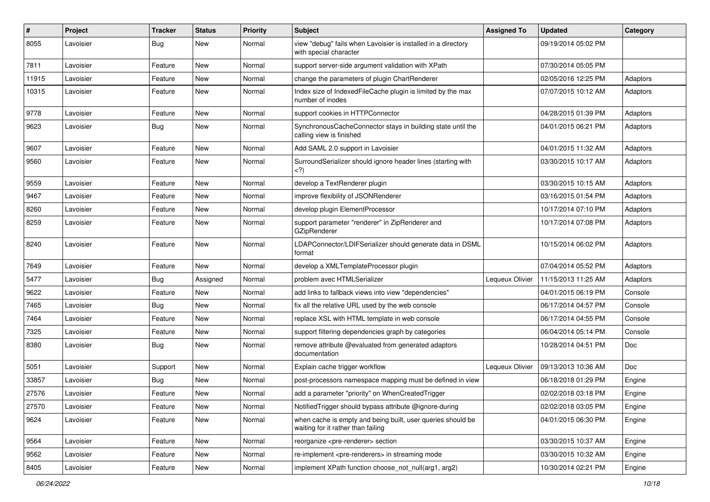| $\pmb{\#}$ | Project   | <b>Tracker</b> | <b>Status</b> | <b>Priority</b> | Subject                                                                                                                        | <b>Assigned To</b> | <b>Updated</b>      | Category |
|------------|-----------|----------------|---------------|-----------------|--------------------------------------------------------------------------------------------------------------------------------|--------------------|---------------------|----------|
| 8055       | Lavoisier | <b>Bug</b>     | New           | Normal          | view "debug" fails when Lavoisier is installed in a directory<br>with special character                                        |                    | 09/19/2014 05:02 PM |          |
| 7811       | Lavoisier | Feature        | New           | Normal          | support server-side argument validation with XPath                                                                             |                    | 07/30/2014 05:05 PM |          |
| 11915      | Lavoisier | Feature        | New           | Normal          | change the parameters of plugin ChartRenderer                                                                                  |                    | 02/05/2016 12:25 PM | Adaptors |
| 10315      | Lavoisier | Feature        | New           | Normal          | Index size of IndexedFileCache plugin is limited by the max<br>number of inodes                                                |                    | 07/07/2015 10:12 AM | Adaptors |
| 9778       | Lavoisier | Feature        | <b>New</b>    | Normal          | support cookies in HTTPConnector                                                                                               |                    | 04/28/2015 01:39 PM | Adaptors |
| 9623       | Lavoisier | Bug            | New           | Normal          | SynchronousCacheConnector stays in building state until the<br>calling view is finished                                        |                    | 04/01/2015 06:21 PM | Adaptors |
| 9607       | Lavoisier | Feature        | New           | Normal          | Add SAML 2.0 support in Lavoisier                                                                                              |                    | 04/01/2015 11:32 AM | Adaptors |
| 9560       | Lavoisier | Feature        | New           | Normal          | SurroundSerializer should ignore header lines (starting with<br>)</td <td></td> <td>03/30/2015 10:17 AM</td> <td>Adaptors</td> |                    | 03/30/2015 10:17 AM | Adaptors |
| 9559       | Lavoisier | Feature        | <b>New</b>    | Normal          | develop a TextRenderer plugin                                                                                                  |                    | 03/30/2015 10:15 AM | Adaptors |
| 9467       | Lavoisier | Feature        | New           | Normal          | improve flexibility of JSONRenderer                                                                                            |                    | 03/16/2015 01:54 PM | Adaptors |
| 8260       | Lavoisier | Feature        | <b>New</b>    | Normal          | develop plugin ElementProcessor                                                                                                |                    | 10/17/2014 07:10 PM | Adaptors |
| 8259       | Lavoisier | Feature        | New           | Normal          | support parameter "renderer" in ZipRenderer and<br><b>GZipRenderer</b>                                                         |                    | 10/17/2014 07:08 PM | Adaptors |
| 8240       | Lavoisier | Feature        | <b>New</b>    | Normal          | LDAPConnector/LDIFSerializer should generate data in DSML<br>format                                                            |                    | 10/15/2014 06:02 PM | Adaptors |
| 7649       | Lavoisier | Feature        | <b>New</b>    | Normal          | develop a XMLTemplateProcessor plugin                                                                                          |                    | 07/04/2014 05:52 PM | Adaptors |
| 5477       | Lavoisier | Bug            | Assigned      | Normal          | problem avec HTMLSerializer                                                                                                    | Lequeux Olivier    | 11/15/2013 11:25 AM | Adaptors |
| 9622       | Lavoisier | Feature        | New           | Normal          | add links to fallback views into view "dependencies"                                                                           |                    | 04/01/2015 06:19 PM | Console  |
| 7465       | Lavoisier | Bug            | <b>New</b>    | Normal          | fix all the relative URL used by the web console                                                                               |                    | 06/17/2014 04:57 PM | Console  |
| 7464       | Lavoisier | Feature        | New           | Normal          | replace XSL with HTML template in web console                                                                                  |                    | 06/17/2014 04:55 PM | Console  |
| 7325       | Lavoisier | Feature        | <b>New</b>    | Normal          | support filtering dependencies graph by categories                                                                             |                    | 06/04/2014 05:14 PM | Console  |
| 8380       | Lavoisier | Bug            | <b>New</b>    | Normal          | remove attribute @evaluated from generated adaptors<br>documentation                                                           |                    | 10/28/2014 04:51 PM | Doc      |
| 5051       | Lavoisier | Support        | <b>New</b>    | Normal          | Explain cache trigger workflow                                                                                                 | Lequeux Olivier    | 09/13/2013 10:36 AM | Doc      |
| 33857      | Lavoisier | <b>Bug</b>     | <b>New</b>    | Normal          | post-processors namespace mapping must be defined in view                                                                      |                    | 06/18/2018 01:29 PM | Engine   |
| 27576      | Lavoisier | Feature        | New           | Normal          | add a parameter "priority" on WhenCreatedTrigger                                                                               |                    | 02/02/2018 03:18 PM | Engine   |
| 27570      | Lavoisier | Feature        | New           | Normal          | NotifiedTrigger should bypass attribute @ignore-during                                                                         |                    | 02/02/2018 03:05 PM | Engine   |
| 9624       | Lavoisier | Feature        | New           | Normal          | when cache is empty and being built, user queries should be<br>waiting for it rather than failing                              |                    | 04/01/2015 06:30 PM | Engine   |
| 9564       | Lavoisier | Feature        | New           | Normal          | reorganize <pre-renderer> section</pre-renderer>                                                                               |                    | 03/30/2015 10:37 AM | Engine   |
| 9562       | Lavoisier | Feature        | New           | Normal          | re-implement <pre-renderers> in streaming mode</pre-renderers>                                                                 |                    | 03/30/2015 10:32 AM | Engine   |
| 8405       | Lavoisier | Feature        | New           | Normal          | implement XPath function choose_not_null(arg1, arg2)                                                                           |                    | 10/30/2014 02:21 PM | Engine   |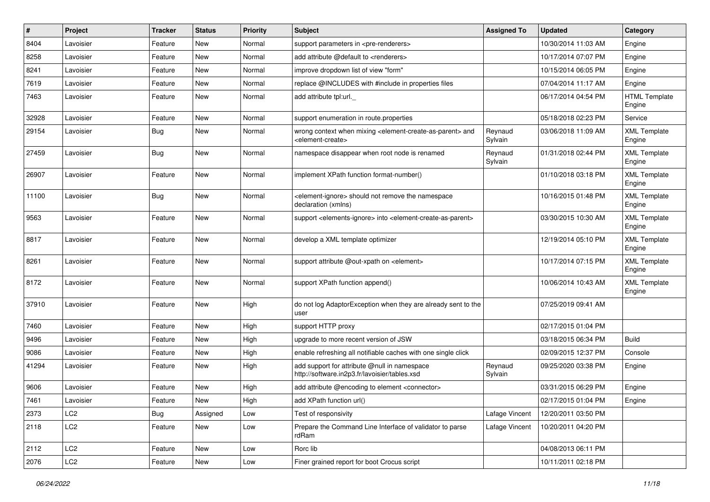| #     | Project         | <b>Tracker</b> | <b>Status</b> | <b>Priority</b> | Subject                                                                                                                   | <b>Assigned To</b> | <b>Updated</b>      | Category                       |
|-------|-----------------|----------------|---------------|-----------------|---------------------------------------------------------------------------------------------------------------------------|--------------------|---------------------|--------------------------------|
| 8404  | Lavoisier       | Feature        | <b>New</b>    | Normal          | support parameters in <pre-renderers></pre-renderers>                                                                     |                    | 10/30/2014 11:03 AM | Engine                         |
| 8258  | Lavoisier       | Feature        | <b>New</b>    | Normal          | add attribute @default to <renderers></renderers>                                                                         |                    | 10/17/2014 07:07 PM | Engine                         |
| 8241  | Lavoisier       | Feature        | New           | Normal          | improve dropdown list of view "form"                                                                                      |                    | 10/15/2014 06:05 PM | Engine                         |
| 7619  | Lavoisier       | Feature        | <b>New</b>    | Normal          | replace @INCLUDES with #include in properties files                                                                       |                    | 07/04/2014 11:17 AM | Engine                         |
| 7463  | Lavoisier       | Feature        | New           | Normal          | add attribute tpl:url.                                                                                                    |                    | 06/17/2014 04:54 PM | <b>HTML</b> Template<br>Engine |
| 32928 | Lavoisier       | Feature        | <b>New</b>    | Normal          | support enumeration in route properties                                                                                   |                    | 05/18/2018 02:23 PM | Service                        |
| 29154 | Lavoisier       | Bug            | New           | Normal          | wrong context when mixing <element-create-as-parent> and<br/><element-create></element-create></element-create-as-parent> | Reynaud<br>Sylvain | 03/06/2018 11:09 AM | <b>XML Template</b><br>Engine  |
| 27459 | Lavoisier       | <b>Bug</b>     | <b>New</b>    | Normal          | namespace disappear when root node is renamed                                                                             | Reynaud<br>Sylvain | 01/31/2018 02:44 PM | <b>XML Template</b><br>Engine  |
| 26907 | Lavoisier       | Feature        | New           | Normal          | implement XPath function format-number()                                                                                  |                    | 01/10/2018 03:18 PM | <b>XML Template</b><br>Engine  |
| 11100 | Lavoisier       | Bug            | <b>New</b>    | Normal          | <element-ignore> should not remove the namespace<br/>declaration (xmlns)</element-ignore>                                 |                    | 10/16/2015 01:48 PM | <b>XML Template</b><br>Engine  |
| 9563  | Lavoisier       | Feature        | <b>New</b>    | Normal          | support <elements-ignore> into <element-create-as-parent></element-create-as-parent></elements-ignore>                    |                    | 03/30/2015 10:30 AM | <b>XML Template</b><br>Engine  |
| 8817  | Lavoisier       | Feature        | <b>New</b>    | Normal          | develop a XML template optimizer                                                                                          |                    | 12/19/2014 05:10 PM | <b>XML</b> Template<br>Engine  |
| 8261  | Lavoisier       | Feature        | New           | Normal          | support attribute @out-xpath on <element></element>                                                                       |                    | 10/17/2014 07:15 PM | <b>XML Template</b><br>Engine  |
| 8172  | Lavoisier       | Feature        | <b>New</b>    | Normal          | support XPath function append()                                                                                           |                    | 10/06/2014 10:43 AM | <b>XML Template</b><br>Engine  |
| 37910 | Lavoisier       | Feature        | <b>New</b>    | High            | do not log AdaptorException when they are already sent to the<br>user                                                     |                    | 07/25/2019 09:41 AM |                                |
| 7460  | Lavoisier       | Feature        | <b>New</b>    | High            | support HTTP proxy                                                                                                        |                    | 02/17/2015 01:04 PM |                                |
| 9496  | Lavoisier       | Feature        | New           | High            | upgrade to more recent version of JSW                                                                                     |                    | 03/18/2015 06:34 PM | <b>Build</b>                   |
| 9086  | Lavoisier       | Feature        | New           | High            | enable refreshing all notifiable caches with one single click                                                             |                    | 02/09/2015 12:37 PM | Console                        |
| 41294 | Lavoisier       | Feature        | New           | High            | add support for attribute @null in namespace<br>http://software.in2p3.fr/lavoisier/tables.xsd                             | Reynaud<br>Sylvain | 09/25/2020 03:38 PM | Engine                         |
| 9606  | Lavoisier       | Feature        | <b>New</b>    | High            | add attribute @encoding to element <connector></connector>                                                                |                    | 03/31/2015 06:29 PM | Engine                         |
| 7461  | Lavoisier       | Feature        | New           | High            | add XPath function url()                                                                                                  |                    | 02/17/2015 01:04 PM | Engine                         |
| 2373  | LC2             | <b>Bug</b>     | Assigned      | Low             | Test of responsivity                                                                                                      | Lafage Vincent     | 12/20/2011 03:50 PM |                                |
| 2118  | LC <sub>2</sub> | Feature        | New           | Low             | Prepare the Command Line Interface of validator to parse<br>rdRam                                                         | Lafage Vincent     | 10/20/2011 04:20 PM |                                |
| 2112  | LC2             | Feature        | New           | Low             | Rorc lib                                                                                                                  |                    | 04/08/2013 06:11 PM |                                |
| 2076  | LC2             | Feature        | New           | Low             | Finer grained report for boot Crocus script                                                                               |                    | 10/11/2011 02:18 PM |                                |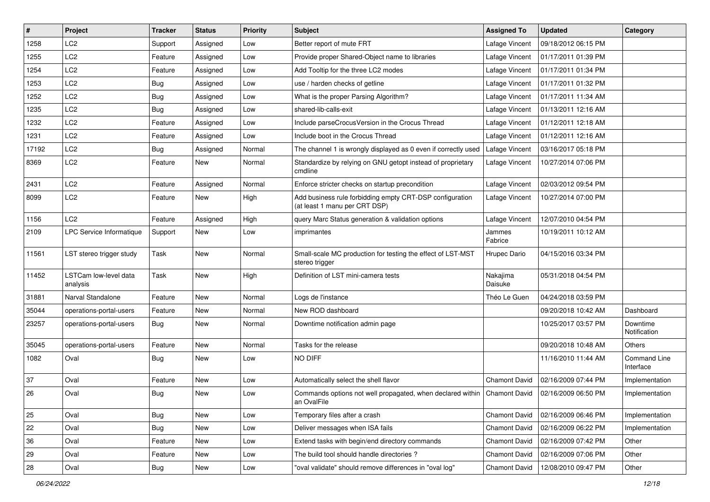| $\#$  | Project                           | Tracker    | <b>Status</b> | <b>Priority</b> | Subject                                                                                   | <b>Assigned To</b>   | <b>Updated</b>      | Category                         |
|-------|-----------------------------------|------------|---------------|-----------------|-------------------------------------------------------------------------------------------|----------------------|---------------------|----------------------------------|
| 1258  | LC <sub>2</sub>                   | Support    | Assigned      | Low             | Better report of mute FRT                                                                 | Lafage Vincent       | 09/18/2012 06:15 PM |                                  |
| 1255  | LC <sub>2</sub>                   | Feature    | Assigned      | Low             | Provide proper Shared-Object name to libraries                                            | Lafage Vincent       | 01/17/2011 01:39 PM |                                  |
| 1254  | LC <sub>2</sub>                   | Feature    | Assigned      | Low             | Add Tooltip for the three LC2 modes                                                       | Lafage Vincent       | 01/17/2011 01:34 PM |                                  |
| 1253  | LC <sub>2</sub>                   | Bug        | Assigned      | Low             | use / harden checks of getline                                                            | Lafage Vincent       | 01/17/2011 01:32 PM |                                  |
| 1252  | LC <sub>2</sub>                   | Bug        | Assigned      | Low             | What is the proper Parsing Algorithm?                                                     | Lafage Vincent       | 01/17/2011 11:34 AM |                                  |
| 1235  | LC <sub>2</sub>                   | Bug        | Assigned      | Low             | shared-lib-calls-exit                                                                     | Lafage Vincent       | 01/13/2011 12:16 AM |                                  |
| 1232  | LC <sub>2</sub>                   | Feature    | Assigned      | Low             | Include parseCrocusVersion in the Crocus Thread                                           | Lafage Vincent       | 01/12/2011 12:18 AM |                                  |
| 1231  | LC <sub>2</sub>                   | Feature    | Assigned      | Low             | Include boot in the Crocus Thread                                                         | Lafage Vincent       | 01/12/2011 12:16 AM |                                  |
| 17192 | LC <sub>2</sub>                   | Bug        | Assigned      | Normal          | The channel 1 is wrongly displayed as 0 even if correctly used                            | Lafage Vincent       | 03/16/2017 05:18 PM |                                  |
| 8369  | LC <sub>2</sub>                   | Feature    | <b>New</b>    | Normal          | Standardize by relying on GNU getopt instead of proprietary<br>cmdline                    | Lafage Vincent       | 10/27/2014 07:06 PM |                                  |
| 2431  | LC <sub>2</sub>                   | Feature    | Assigned      | Normal          | Enforce stricter checks on startup precondition                                           | Lafage Vincent       | 02/03/2012 09:54 PM |                                  |
| 8099  | LC <sub>2</sub>                   | Feature    | <b>New</b>    | High            | Add business rule forbidding empty CRT-DSP configuration<br>(at least 1 manu per CRT DSP) | Lafage Vincent       | 10/27/2014 07:00 PM |                                  |
| 1156  | LC <sub>2</sub>                   | Feature    | Assigned      | High            | query Marc Status generation & validation options                                         | Lafage Vincent       | 12/07/2010 04:54 PM |                                  |
| 2109  | LPC Service Informatique          | Support    | New           | Low             | imprimantes                                                                               | Jammes<br>Fabrice    | 10/19/2011 10:12 AM |                                  |
| 11561 | LST stereo trigger study          | Task       | <b>New</b>    | Normal          | Small-scale MC production for testing the effect of LST-MST<br>stereo trigger             | Hrupec Dario         | 04/15/2016 03:34 PM |                                  |
| 11452 | LSTCam low-level data<br>analysis | Task       | New           | High            | Definition of LST mini-camera tests                                                       | Nakajima<br>Daisuke  | 05/31/2018 04:54 PM |                                  |
| 31881 | Narval Standalone                 | Feature    | New           | Normal          | Logs de l'instance                                                                        | Théo Le Guen         | 04/24/2018 03:59 PM |                                  |
| 35044 | operations-portal-users           | Feature    | <b>New</b>    | Normal          | New ROD dashboard                                                                         |                      | 09/20/2018 10:42 AM | Dashboard                        |
| 23257 | operations-portal-users           | Bug        | New           | Normal          | Downtime notification admin page                                                          |                      | 10/25/2017 03:57 PM | Downtime<br>Notification         |
| 35045 | operations-portal-users           | Feature    | <b>New</b>    | Normal          | Tasks for the release                                                                     |                      | 09/20/2018 10:48 AM | Others                           |
| 1082  | Oval                              | Bug        | <b>New</b>    | Low             | NO DIFF                                                                                   |                      | 11/16/2010 11:44 AM | <b>Command Line</b><br>Interface |
| 37    | Oval                              | Feature    | <b>New</b>    | Low             | Automatically select the shell flavor                                                     | Chamont David        | 02/16/2009 07:44 PM | Implementation                   |
| 26    | Oval                              | Bug        | New           | Low             | Commands options not well propagated, when declared within   Chamont David<br>an OvalFile |                      | 02/16/2009 06:50 PM | Implementation                   |
| 25    | Oval                              | Bug        | New           | Low             | Temporary files after a crash                                                             | Chamont David        | 02/16/2009 06:46 PM | Implementation                   |
| 22    | Oval                              | Bug        | New           | Low             | Deliver messages when ISA fails                                                           | <b>Chamont David</b> | 02/16/2009 06:22 PM | Implementation                   |
| 36    | Oval                              | Feature    | New           | Low             | Extend tasks with begin/end directory commands                                            | Chamont David        | 02/16/2009 07:42 PM | Other                            |
| 29    | Oval                              | Feature    | New           | Low             | The build tool should handle directories?                                                 | <b>Chamont David</b> | 02/16/2009 07:06 PM | Other                            |
| 28    | Oval                              | <b>Bug</b> | New           | Low             | "oval validate" should remove differences in "oval log"                                   | <b>Chamont David</b> | 12/08/2010 09:47 PM | Other                            |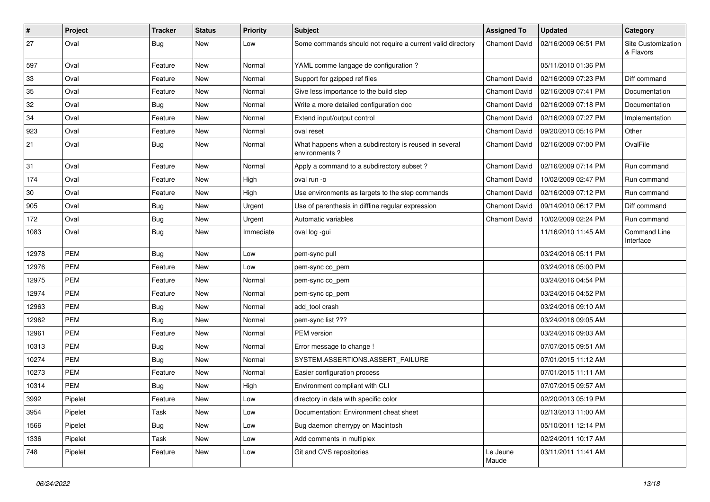| #     | Project    | <b>Tracker</b> | <b>Status</b> | <b>Priority</b> | Subject                                                                | <b>Assigned To</b>   | <b>Updated</b>      | Category                         |
|-------|------------|----------------|---------------|-----------------|------------------------------------------------------------------------|----------------------|---------------------|----------------------------------|
| 27    | Oval       | <b>Bug</b>     | New           | Low             | Some commands should not require a current valid directory             | <b>Chamont David</b> | 02/16/2009 06:51 PM | Site Customization<br>& Flavors  |
| 597   | Oval       | Feature        | <b>New</b>    | Normal          | YAML comme langage de configuration ?                                  |                      | 05/11/2010 01:36 PM |                                  |
| 33    | Oval       | Feature        | New           | Normal          | Support for gzipped ref files                                          | Chamont David        | 02/16/2009 07:23 PM | Diff command                     |
| 35    | Oval       | Feature        | <b>New</b>    | Normal          | Give less importance to the build step                                 | Chamont David        | 02/16/2009 07:41 PM | Documentation                    |
| 32    | Oval       | <b>Bug</b>     | <b>New</b>    | Normal          | Write a more detailed configuration doc                                | Chamont David        | 02/16/2009 07:18 PM | Documentation                    |
| 34    | Oval       | Feature        | <b>New</b>    | Normal          | Extend input/output control                                            | <b>Chamont David</b> | 02/16/2009 07:27 PM | Implementation                   |
| 923   | Oval       | Feature        | New           | Normal          | oval reset                                                             | Chamont David        | 09/20/2010 05:16 PM | Other                            |
| 21    | Oval       | <b>Bug</b>     | New           | Normal          | What happens when a subdirectory is reused in several<br>environments? | <b>Chamont David</b> | 02/16/2009 07:00 PM | OvalFile                         |
| 31    | Oval       | Feature        | <b>New</b>    | Normal          | Apply a command to a subdirectory subset?                              | Chamont David        | 02/16/2009 07:14 PM | Run command                      |
| 174   | Oval       | Feature        | New           | High            | oval run -o                                                            | Chamont David        | 10/02/2009 02:47 PM | Run command                      |
| 30    | Oval       | Feature        | <b>New</b>    | High            | Use environments as targets to the step commands                       | <b>Chamont David</b> | 02/16/2009 07:12 PM | Run command                      |
| 905   | Oval       | <b>Bug</b>     | <b>New</b>    | Urgent          | Use of parenthesis in diffline regular expression                      | <b>Chamont David</b> | 09/14/2010 06:17 PM | Diff command                     |
| 172   | Oval       | <b>Bug</b>     | <b>New</b>    | Urgent          | Automatic variables                                                    | <b>Chamont David</b> | 10/02/2009 02:24 PM | Run command                      |
| 1083  | Oval       | Bug            | <b>New</b>    | Immediate       | oval log -gui                                                          |                      | 11/16/2010 11:45 AM | <b>Command Line</b><br>Interface |
| 12978 | <b>PEM</b> | <b>Bug</b>     | New           | Low             | pem-sync pull                                                          |                      | 03/24/2016 05:11 PM |                                  |
| 12976 | <b>PEM</b> | Feature        | <b>New</b>    | Low             | pem-sync co pem                                                        |                      | 03/24/2016 05:00 PM |                                  |
| 12975 | <b>PEM</b> | Feature        | New           | Normal          | pem-sync co_pem                                                        |                      | 03/24/2016 04:54 PM |                                  |
| 12974 | PEM        | Feature        | <b>New</b>    | Normal          | pem-sync cp_pem                                                        |                      | 03/24/2016 04:52 PM |                                  |
| 12963 | <b>PEM</b> | <b>Bug</b>     | <b>New</b>    | Normal          | add tool crash                                                         |                      | 03/24/2016 09:10 AM |                                  |
| 12962 | PEM        | Bug            | <b>New</b>    | Normal          | pem-sync list ???                                                      |                      | 03/24/2016 09:05 AM |                                  |
| 12961 | <b>PEM</b> | Feature        | New           | Normal          | <b>PEM</b> version                                                     |                      | 03/24/2016 09:03 AM |                                  |
| 10313 | <b>PEM</b> | <b>Bug</b>     | New           | Normal          | Error message to change !                                              |                      | 07/07/2015 09:51 AM |                                  |
| 10274 | <b>PEM</b> | <b>Bug</b>     | New           | Normal          | SYSTEM.ASSERTIONS.ASSERT_FAILURE                                       |                      | 07/01/2015 11:12 AM |                                  |
| 10273 | PEM        | Feature        | New           | Normal          | Easier configuration process                                           |                      | 07/01/2015 11:11 AM |                                  |
| 10314 | <b>PEM</b> | <b>Bug</b>     | <b>New</b>    | High            | Environment compliant with CLI                                         |                      | 07/07/2015 09:57 AM |                                  |
| 3992  | Pipelet    | Feature        | New           | Low             | directory in data with specific color                                  |                      | 02/20/2013 05:19 PM |                                  |
| 3954  | Pipelet    | Task           | New           | Low             | Documentation: Environment cheat sheet                                 |                      | 02/13/2013 11:00 AM |                                  |
| 1566  | Pipelet    | Bug            | New           | Low             | Bug daemon cherrypy on Macintosh                                       |                      | 05/10/2011 12:14 PM |                                  |
| 1336  | Pipelet    | Task           | New           | Low             | Add comments in multiplex                                              |                      | 02/24/2011 10:17 AM |                                  |
| 748   | Pipelet    | Feature        | New           | Low             | Git and CVS repositories                                               | Le Jeune<br>Maude    | 03/11/2011 11:41 AM |                                  |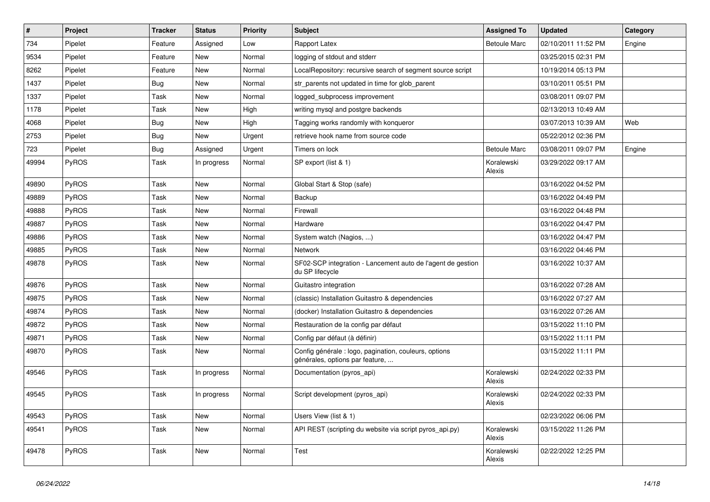| $\sharp$ | Project | <b>Tracker</b> | <b>Status</b> | <b>Priority</b> | Subject                                                                                  | <b>Assigned To</b>   | <b>Updated</b>      | Category |
|----------|---------|----------------|---------------|-----------------|------------------------------------------------------------------------------------------|----------------------|---------------------|----------|
| 734      | Pipelet | Feature        | Assigned      | Low             | Rapport Latex                                                                            | <b>Betoule Marc</b>  | 02/10/2011 11:52 PM | Engine   |
| 9534     | Pipelet | Feature        | <b>New</b>    | Normal          | logging of stdout and stderr                                                             |                      | 03/25/2015 02:31 PM |          |
| 8262     | Pipelet | Feature        | New           | Normal          | LocalRepository: recursive search of segment source script                               |                      | 10/19/2014 05:13 PM |          |
| 1437     | Pipelet | <b>Bug</b>     | <b>New</b>    | Normal          | str_parents not updated in time for glob_parent                                          |                      | 03/10/2011 05:51 PM |          |
| 1337     | Pipelet | Task           | <b>New</b>    | Normal          | logged_subprocess improvement                                                            |                      | 03/08/2011 09:07 PM |          |
| 1178     | Pipelet | Task           | <b>New</b>    | High            | writing mysql and postgre backends                                                       |                      | 02/13/2013 10:49 AM |          |
| 4068     | Pipelet | Bug            | <b>New</b>    | High            | Tagging works randomly with konqueror                                                    |                      | 03/07/2013 10:39 AM | Web      |
| 2753     | Pipelet | Bug            | <b>New</b>    | Urgent          | retrieve hook name from source code                                                      |                      | 05/22/2012 02:36 PM |          |
| 723      | Pipelet | <b>Bug</b>     | Assigned      | Urgent          | Timers on lock                                                                           | <b>Betoule Marc</b>  | 03/08/2011 09:07 PM | Engine   |
| 49994    | PyROS   | Task           | In progress   | Normal          | SP export (list & 1)                                                                     | Koralewski<br>Alexis | 03/29/2022 09:17 AM |          |
| 49890    | PyROS   | Task           | <b>New</b>    | Normal          | Global Start & Stop (safe)                                                               |                      | 03/16/2022 04:52 PM |          |
| 49889    | PyROS   | Task           | <b>New</b>    | Normal          | Backup                                                                                   |                      | 03/16/2022 04:49 PM |          |
| 49888    | PyROS   | Task           | <b>New</b>    | Normal          | Firewall                                                                                 |                      | 03/16/2022 04:48 PM |          |
| 49887    | PyROS   | Task           | <b>New</b>    | Normal          | Hardware                                                                                 |                      | 03/16/2022 04:47 PM |          |
| 49886    | PyROS   | Task           | New           | Normal          | System watch (Nagios, )                                                                  |                      | 03/16/2022 04:47 PM |          |
| 49885    | PyROS   | Task           | New           | Normal          | Network                                                                                  |                      | 03/16/2022 04:46 PM |          |
| 49878    | PyROS   | Task           | <b>New</b>    | Normal          | SF02-SCP integration - Lancement auto de l'agent de gestion<br>du SP lifecycle           |                      | 03/16/2022 10:37 AM |          |
| 49876    | PyROS   | Task           | <b>New</b>    | Normal          | Guitastro integration                                                                    |                      | 03/16/2022 07:28 AM |          |
| 49875    | PyROS   | Task           | <b>New</b>    | Normal          | (classic) Installation Guitastro & dependencies                                          |                      | 03/16/2022 07:27 AM |          |
| 49874    | PyROS   | Task           | New           | Normal          | (docker) Installation Guitastro & dependencies                                           |                      | 03/16/2022 07:26 AM |          |
| 49872    | PyROS   | Task           | <b>New</b>    | Normal          | Restauration de la config par défaut                                                     |                      | 03/15/2022 11:10 PM |          |
| 49871    | PyROS   | Task           | New           | Normal          | Config par défaut (à définir)                                                            |                      | 03/15/2022 11:11 PM |          |
| 49870    | PyROS   | Task           | New           | Normal          | Config générale : logo, pagination, couleurs, options<br>générales, options par feature, |                      | 03/15/2022 11:11 PM |          |
| 49546    | PyROS   | Task           | In progress   | Normal          | Documentation (pyros_api)                                                                | Koralewski<br>Alexis | 02/24/2022 02:33 PM |          |
| 49545    | PyROS   | Task           | In progress   | Normal          | Script development (pyros_api)                                                           | Koralewski<br>Alexis | 02/24/2022 02:33 PM |          |
| 49543    | PyROS   | Task           | New           | Normal          | Users View (list & 1)                                                                    |                      | 02/23/2022 06:06 PM |          |
| 49541    | PyROS   | Task           | New           | Normal          | API REST (scripting du website via script pyros_api.py)                                  | Koralewski<br>Alexis | 03/15/2022 11:26 PM |          |
| 49478    | PyROS   | Task           | New           | Normal          | Test                                                                                     | Koralewski<br>Alexis | 02/22/2022 12:25 PM |          |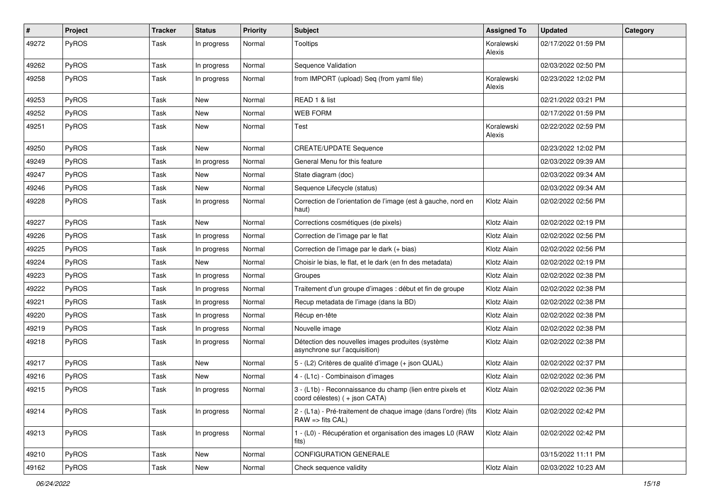| $\pmb{\#}$ | Project      | <b>Tracker</b> | <b>Status</b> | <b>Priority</b> | Subject                                                                                       | <b>Assigned To</b>   | <b>Updated</b>      | Category |
|------------|--------------|----------------|---------------|-----------------|-----------------------------------------------------------------------------------------------|----------------------|---------------------|----------|
| 49272      | <b>PyROS</b> | Task           | In progress   | Normal          | <b>Tooltips</b>                                                                               | Koralewski<br>Alexis | 02/17/2022 01:59 PM |          |
| 49262      | <b>PyROS</b> | Task           | In progress   | Normal          | Sequence Validation                                                                           |                      | 02/03/2022 02:50 PM |          |
| 49258      | <b>PyROS</b> | Task           | In progress   | Normal          | from IMPORT (upload) Seq (from yaml file)                                                     | Koralewski<br>Alexis | 02/23/2022 12:02 PM |          |
| 49253      | <b>PyROS</b> | Task           | <b>New</b>    | Normal          | READ 1 & list                                                                                 |                      | 02/21/2022 03:21 PM |          |
| 49252      | <b>PyROS</b> | Task           | New           | Normal          | <b>WEB FORM</b>                                                                               |                      | 02/17/2022 01:59 PM |          |
| 49251      | <b>PyROS</b> | Task           | New           | Normal          | Test                                                                                          | Koralewski<br>Alexis | 02/22/2022 02:59 PM |          |
| 49250      | PyROS        | Task           | New           | Normal          | <b>CREATE/UPDATE Sequence</b>                                                                 |                      | 02/23/2022 12:02 PM |          |
| 49249      | <b>PyROS</b> | Task           | In progress   | Normal          | General Menu for this feature                                                                 |                      | 02/03/2022 09:39 AM |          |
| 49247      | <b>PyROS</b> | Task           | New           | Normal          | State diagram (doc)                                                                           |                      | 02/03/2022 09:34 AM |          |
| 49246      | <b>PyROS</b> | Task           | <b>New</b>    | Normal          | Sequence Lifecycle (status)                                                                   |                      | 02/03/2022 09:34 AM |          |
| 49228      | <b>PyROS</b> | Task           | In progress   | Normal          | Correction de l'orientation de l'image (est à gauche, nord en<br>haut)                        | Klotz Alain          | 02/02/2022 02:56 PM |          |
| 49227      | <b>PyROS</b> | Task           | New           | Normal          | Corrections cosmétiques (de pixels)                                                           | Klotz Alain          | 02/02/2022 02:19 PM |          |
| 49226      | <b>PyROS</b> | Task           | In progress   | Normal          | Correction de l'image par le flat                                                             | Klotz Alain          | 02/02/2022 02:56 PM |          |
| 49225      | PyROS        | Task           | In progress   | Normal          | Correction de l'image par le dark (+ bias)                                                    | Klotz Alain          | 02/02/2022 02:56 PM |          |
| 49224      | <b>PyROS</b> | Task           | New           | Normal          | Choisir le bias, le flat, et le dark (en fn des metadata)                                     | Klotz Alain          | 02/02/2022 02:19 PM |          |
| 49223      | PyROS        | Task           | In progress   | Normal          | Groupes                                                                                       | Klotz Alain          | 02/02/2022 02:38 PM |          |
| 49222      | PyROS        | Task           | In progress   | Normal          | Traitement d'un groupe d'images : début et fin de groupe                                      | Klotz Alain          | 02/02/2022 02:38 PM |          |
| 49221      | <b>PyROS</b> | Task           | In progress   | Normal          | Recup metadata de l'image (dans la BD)                                                        | Klotz Alain          | 02/02/2022 02:38 PM |          |
| 49220      | PyROS        | Task           | In progress   | Normal          | Récup en-tête                                                                                 | Klotz Alain          | 02/02/2022 02:38 PM |          |
| 49219      | <b>PyROS</b> | Task           | In progress   | Normal          | Nouvelle image                                                                                | Klotz Alain          | 02/02/2022 02:38 PM |          |
| 49218      | <b>PyROS</b> | Task           | In progress   | Normal          | Détection des nouvelles images produites (système<br>asynchrone sur l'acquisition)            | Klotz Alain          | 02/02/2022 02:38 PM |          |
| 49217      | <b>PyROS</b> | Task           | <b>New</b>    | Normal          | 5 - (L2) Critères de qualité d'image (+ json QUAL)                                            | Klotz Alain          | 02/02/2022 02:37 PM |          |
| 49216      | <b>PyROS</b> | Task           | New           | Normal          | 4 - (L1c) - Combinaison d'images                                                              | Klotz Alain          | 02/02/2022 02:36 PM |          |
| 49215      | <b>PyROS</b> | Task           | In progress   | Normal          | 3 - (L1b) - Reconnaissance du champ (lien entre pixels et<br>coord célestes) (+ json CATA)    | Klotz Alain          | 02/02/2022 02:36 PM |          |
| 49214      | <b>PyROS</b> | Task           | In progress   | Normal          | 2 - (L1a) - Pré-traitement de chaque image (dans l'ordre) (fits<br>$RAW \Rightarrow fits CAL$ | Klotz Alain          | 02/02/2022 02:42 PM |          |
| 49213      | PyROS        | Task           | In progress   | Normal          | 1 - (L0) - Récupération et organisation des images L0 (RAW<br>fits)                           | Klotz Alain          | 02/02/2022 02:42 PM |          |
| 49210      | PyROS        | Task           | New           | Normal          | <b>CONFIGURATION GENERALE</b>                                                                 |                      | 03/15/2022 11:11 PM |          |
| 49162      | PyROS        | Task           | New           | Normal          | Check sequence validity                                                                       | Klotz Alain          | 02/03/2022 10:23 AM |          |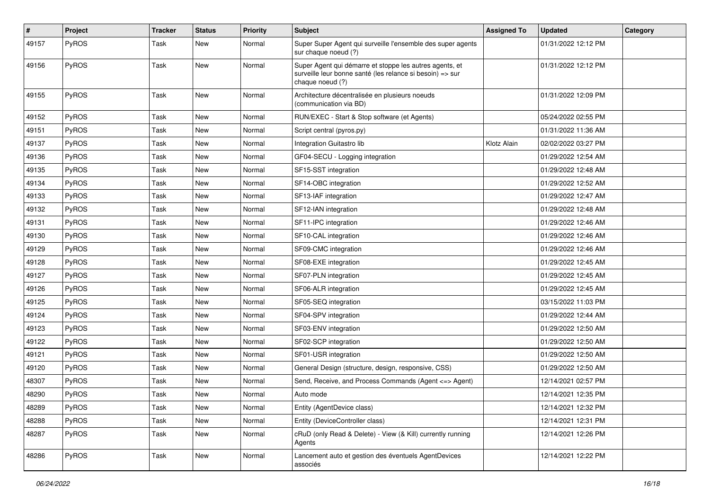| $\vert$ # | Project      | Tracker | <b>Status</b> | <b>Priority</b> | <b>Subject</b>                                                                                                                           | <b>Assigned To</b> | <b>Updated</b>      | Category |
|-----------|--------------|---------|---------------|-----------------|------------------------------------------------------------------------------------------------------------------------------------------|--------------------|---------------------|----------|
| 49157     | <b>PyROS</b> | Task    | New           | Normal          | Super Super Agent qui surveille l'ensemble des super agents<br>sur chaque noeud (?)                                                      |                    | 01/31/2022 12:12 PM |          |
| 49156     | PyROS        | Task    | New           | Normal          | Super Agent qui démarre et stoppe les autres agents, et<br>surveille leur bonne santé (les relance si besoin) => sur<br>chaque noeud (?) |                    | 01/31/2022 12:12 PM |          |
| 49155     | <b>PyROS</b> | Task    | New           | Normal          | Architecture décentralisée en plusieurs noeuds<br>(communication via BD)                                                                 |                    | 01/31/2022 12:09 PM |          |
| 49152     | <b>PyROS</b> | Task    | New           | Normal          | RUN/EXEC - Start & Stop software (et Agents)                                                                                             |                    | 05/24/2022 02:55 PM |          |
| 49151     | <b>PyROS</b> | Task    | <b>New</b>    | Normal          | Script central (pyros.py)                                                                                                                |                    | 01/31/2022 11:36 AM |          |
| 49137     | PyROS        | Task    | <b>New</b>    | Normal          | Integration Guitastro lib                                                                                                                | Klotz Alain        | 02/02/2022 03:27 PM |          |
| 49136     | <b>PyROS</b> | Task    | New           | Normal          | GF04-SECU - Logging integration                                                                                                          |                    | 01/29/2022 12:54 AM |          |
| 49135     | <b>PyROS</b> | Task    | New           | Normal          | SF15-SST integration                                                                                                                     |                    | 01/29/2022 12:48 AM |          |
| 49134     | <b>PyROS</b> | Task    | <b>New</b>    | Normal          | SF14-OBC integration                                                                                                                     |                    | 01/29/2022 12:52 AM |          |
| 49133     | <b>PyROS</b> | Task    | <b>New</b>    | Normal          | SF13-IAF integration                                                                                                                     |                    | 01/29/2022 12:47 AM |          |
| 49132     | <b>PyROS</b> | Task    | New           | Normal          | SF12-IAN integration                                                                                                                     |                    | 01/29/2022 12:48 AM |          |
| 49131     | <b>PyROS</b> | Task    | New           | Normal          | SF11-IPC integration                                                                                                                     |                    | 01/29/2022 12:46 AM |          |
| 49130     | <b>PyROS</b> | Task    | New           | Normal          | SF10-CAL integration                                                                                                                     |                    | 01/29/2022 12:46 AM |          |
| 49129     | <b>PyROS</b> | Task    | <b>New</b>    | Normal          | SF09-CMC integration                                                                                                                     |                    | 01/29/2022 12:46 AM |          |
| 49128     | <b>PyROS</b> | Task    | New           | Normal          | SF08-EXE integration                                                                                                                     |                    | 01/29/2022 12:45 AM |          |
| 49127     | <b>PyROS</b> | Task    | <b>New</b>    | Normal          | SF07-PLN integration                                                                                                                     |                    | 01/29/2022 12:45 AM |          |
| 49126     | <b>PyROS</b> | Task    | New           | Normal          | SF06-ALR integration                                                                                                                     |                    | 01/29/2022 12:45 AM |          |
| 49125     | <b>PyROS</b> | Task    | New           | Normal          | SF05-SEQ integration                                                                                                                     |                    | 03/15/2022 11:03 PM |          |
| 49124     | PyROS        | Task    | <b>New</b>    | Normal          | SF04-SPV integration                                                                                                                     |                    | 01/29/2022 12:44 AM |          |
| 49123     | <b>PyROS</b> | Task    | New           | Normal          | SF03-ENV integration                                                                                                                     |                    | 01/29/2022 12:50 AM |          |
| 49122     | <b>PyROS</b> | Task    | <b>New</b>    | Normal          | SF02-SCP integration                                                                                                                     |                    | 01/29/2022 12:50 AM |          |
| 49121     | <b>PyROS</b> | Task    | New           | Normal          | SF01-USR integration                                                                                                                     |                    | 01/29/2022 12:50 AM |          |
| 49120     | <b>PyROS</b> | Task    | New           | Normal          | General Design (structure, design, responsive, CSS)                                                                                      |                    | 01/29/2022 12:50 AM |          |
| 48307     | PyROS        | Task    | New           | Normal          | Send, Receive, and Process Commands (Agent <= > Agent)                                                                                   |                    | 12/14/2021 02:57 PM |          |
| 48290     | PyROS        | Task    | New           | Normal          | Auto mode                                                                                                                                |                    | 12/14/2021 12:35 PM |          |
| 48289     | PyROS        | Task    | New           | Normal          | Entity (AgentDevice class)                                                                                                               |                    | 12/14/2021 12:32 PM |          |
| 48288     | PyROS        | Task    | New           | Normal          | Entity (DeviceController class)                                                                                                          |                    | 12/14/2021 12:31 PM |          |
| 48287     | PyROS        | Task    | New           | Normal          | cRuD (only Read & Delete) - View (& Kill) currently running<br>Agents                                                                    |                    | 12/14/2021 12:26 PM |          |
| 48286     | PyROS        | Task    | New           | Normal          | Lancement auto et gestion des éventuels AgentDevices<br>associés                                                                         |                    | 12/14/2021 12:22 PM |          |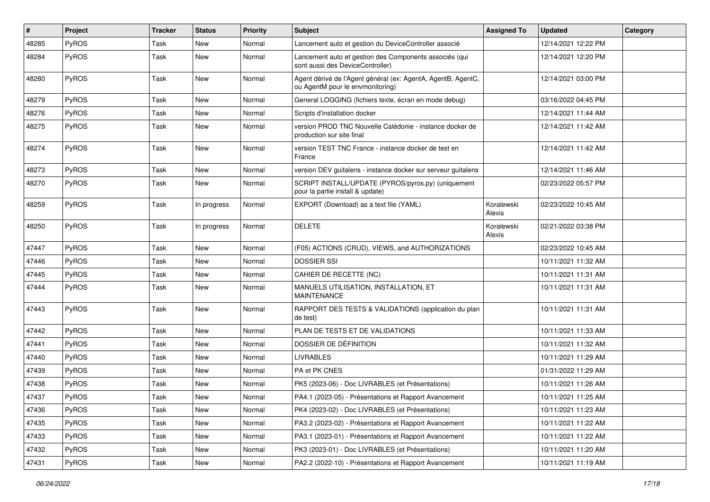| #     | Project      | <b>Tracker</b> | <b>Status</b> | <b>Priority</b> | <b>Subject</b>                                                                                   | <b>Assigned To</b>   | <b>Updated</b>      | Category |
|-------|--------------|----------------|---------------|-----------------|--------------------------------------------------------------------------------------------------|----------------------|---------------------|----------|
| 48285 | PyROS        | Task           | New           | Normal          | Lancement auto et gestion du DeviceController associé                                            |                      | 12/14/2021 12:22 PM |          |
| 48284 | PyROS        | Task           | <b>New</b>    | Normal          | Lancement auto et gestion des Components associés (qui<br>sont aussi des DeviceController)       |                      | 12/14/2021 12:20 PM |          |
| 48280 | PyROS        | Task           | <b>New</b>    | Normal          | Agent dérivé de l'Agent général (ex: AgentA, AgentB, AgentC,<br>ou AgentM pour le envmonitoring) |                      | 12/14/2021 03:00 PM |          |
| 48279 | PyROS        | Task           | <b>New</b>    | Normal          | General LOGGING (fichiers texte, écran en mode debug)                                            |                      | 03/16/2022 04:45 PM |          |
| 48276 | <b>PyROS</b> | Task           | New           | Normal          | Scripts d'installation docker                                                                    |                      | 12/14/2021 11:44 AM |          |
| 48275 | <b>PyROS</b> | Task           | New           | Normal          | version PROD TNC Nouvelle Calédonie - instance docker de<br>production sur site final            |                      | 12/14/2021 11:42 AM |          |
| 48274 | PyROS        | Task           | <b>New</b>    | Normal          | version TEST TNC France - instance docker de test en<br>France                                   |                      | 12/14/2021 11:42 AM |          |
| 48273 | PyROS        | Task           | <b>New</b>    | Normal          | version DEV guitalens - instance docker sur serveur guitalens                                    |                      | 12/14/2021 11:46 AM |          |
| 48270 | PyROS        | Task           | <b>New</b>    | Normal          | SCRIPT INSTALL/UPDATE (PYROS/pyros.py) (uniquement<br>pour la partie install & update)           |                      | 02/23/2022 05:57 PM |          |
| 48259 | <b>PyROS</b> | Task           | In progress   | Normal          | EXPORT (Download) as a text file (YAML)                                                          | Koralewski<br>Alexis | 02/23/2022 10:45 AM |          |
| 48250 | PyROS        | Task           | In progress   | Normal          | <b>DELETE</b>                                                                                    | Koralewski<br>Alexis | 02/21/2022 03:38 PM |          |
| 47447 | PyROS        | Task           | New           | Normal          | (F05) ACTIONS (CRUD), VIEWS, and AUTHORIZATIONS                                                  |                      | 02/23/2022 10:45 AM |          |
| 47446 | <b>PyROS</b> | Task           | New           | Normal          | <b>DOSSIER SSI</b>                                                                               |                      | 10/11/2021 11:32 AM |          |
| 47445 | PyROS        | Task           | <b>New</b>    | Normal          | CAHIER DE RECETTE (NC)                                                                           |                      | 10/11/2021 11:31 AM |          |
| 47444 | <b>PyROS</b> | Task           | New           | Normal          | MANUELS UTILISATION, INSTALLATION, ET<br><b>MAINTENANCE</b>                                      |                      | 10/11/2021 11:31 AM |          |
| 47443 | <b>PyROS</b> | Task           | <b>New</b>    | Normal          | RAPPORT DES TESTS & VALIDATIONS (application du plan<br>de test)                                 |                      | 10/11/2021 11:31 AM |          |
| 47442 | PyROS        | Task           | <b>New</b>    | Normal          | PLAN DE TESTS ET DE VALIDATIONS                                                                  |                      | 10/11/2021 11:33 AM |          |
| 47441 | <b>PyROS</b> | Task           | New           | Normal          | DOSSIER DE DÉFINITION                                                                            |                      | 10/11/2021 11:32 AM |          |
| 47440 | PyROS        | Task           | New           | Normal          | <b>LIVRABLES</b>                                                                                 |                      | 10/11/2021 11:29 AM |          |
| 47439 | PyROS        | Task           | <b>New</b>    | Normal          | PA et PK CNES                                                                                    |                      | 01/31/2022 11:29 AM |          |
| 47438 | <b>PyROS</b> | Task           | New           | Normal          | PK5 (2023-06) - Doc LIVRABLES (et Présentations)                                                 |                      | 10/11/2021 11:26 AM |          |
| 47437 | PyROS        | Task           | New           | Normal          | PA4.1 (2023-05) - Présentations et Rapport Avancement                                            |                      | 10/11/2021 11:25 AM |          |
| 47436 | PyROS        | Task           | New           | Normal          | PK4 (2023-02) - Doc LIVRABLES (et Présentations)                                                 |                      | 10/11/2021 11:23 AM |          |
| 47435 | <b>PyROS</b> | Task           | New           | Normal          | PA3.2 (2023-02) - Présentations et Rapport Avancement                                            |                      | 10/11/2021 11:22 AM |          |
| 47433 | PyROS        | Task           | New           | Normal          | PA3.1 (2023-01) - Présentations et Rapport Avancement                                            |                      | 10/11/2021 11:22 AM |          |
| 47432 | <b>PyROS</b> | Task           | New           | Normal          | PK3 (2023-01) - Doc LIVRABLES (et Présentations)                                                 |                      | 10/11/2021 11:20 AM |          |
| 47431 | PyROS        | Task           | New           | Normal          | PA2.2 (2022-10) - Présentations et Rapport Avancement                                            |                      | 10/11/2021 11:19 AM |          |